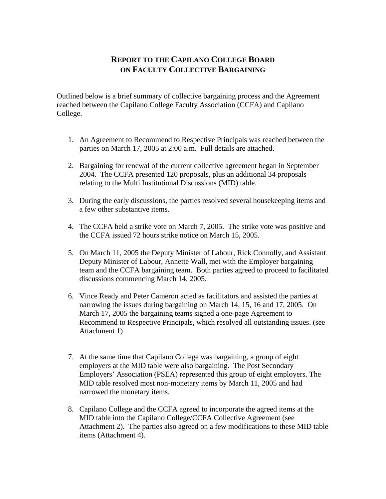## **REPORT TO THE CAPILANO COLLEGE BOARD ON FACULTY COLLECTIVE BARGAINING**

Outlined below is a brief summary of collective bargaining process and the Agreement reached between the Capilano College Faculty Association (CCFA) and Capilano College.

- 1. An Agreement to Recommend to Respective Principals was reached between the parties on March 17, 2005 at 2:00 a.m. Full details are attached.
- 2. Bargaining for renewal of the current collective agreement began in September 2004. The CCFA presented 120 proposals, plus an additional 34 proposals relating to the Multi Institutional Discussions (MID) table.
- 3. During the early discussions, the parties resolved several housekeeping items and a few other substantive items.
- 4. The CCFA held a strike vote on March 7, 2005. The strike vote was positive and the CCFA issued 72 hours strike notice on March 15, 2005.
- 5. On March 11, 2005 the Deputy Minister of Labour, Rick Connolly, and Assistant Deputy Minister of Labour, Annette Wall, met with the Employer bargaining team and the CCFA bargaining team. Both parties agreed to proceed to facilitated discussions commencing March 14, 2005.
- 6. Vince Ready and Peter Cameron acted as facilitators and assisted the parties at narrowing the issues during bargaining on March 14, 15, 16 and 17, 2005. On March 17, 2005 the bargaining teams signed a one-page Agreement to Recommend to Respective Principals, which resolved all outstanding issues. (see Attachment 1)
- 7. At the same time that Capilano College was bargaining, a group of eight employers at the MID table were also bargaining. The Post Secondary Employers' Association (PSEA) represented this group of eight employers. The MID table resolved most non-monetary items by March 11, 2005 and had narrowed the monetary items.
- 8. Capilano College and the CCFA agreed to incorporate the agreed items at the MID table into the Capilano College/CCFA Collective Agreement (see Attachment 2). The parties also agreed on a few modifications to these MID table items (Attachment 4).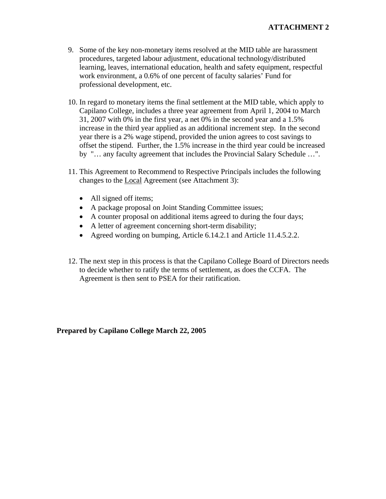- 9. Some of the key non-monetary items resolved at the MID table are harassment procedures, targeted labour adjustment, educational technology/distributed learning, leaves, international education, health and safety equipment, respectful work environment, a 0.6% of one percent of faculty salaries' Fund for professional development, etc.
- 10. In regard to monetary items the final settlement at the MID table, which apply to Capilano College, includes a three year agreement from April 1, 2004 to March 31, 2007 with 0% in the first year, a net 0% in the second year and a 1.5% increase in the third year applied as an additional increment step. In the second year there is a 2% wage stipend, provided the union agrees to cost savings to offset the stipend. Further, the 1.5% increase in the third year could be increased by "… any faculty agreement that includes the Provincial Salary Schedule …".
- 11. This Agreement to Recommend to Respective Principals includes the following changes to the Local Agreement (see Attachment 3):
	- All signed off items;
	- A package proposal on Joint Standing Committee issues;
	- A counter proposal on additional items agreed to during the four days;
	- A letter of agreement concerning short-term disability;
	- Agreed wording on bumping, Article 6.14.2.1 and Article 11.4.5.2.2.
- 12. The next step in this process is that the Capilano College Board of Directors needs to decide whether to ratify the terms of settlement, as does the CCFA. The Agreement is then sent to PSEA for their ratification.

**Prepared by Capilano College March 22, 2005**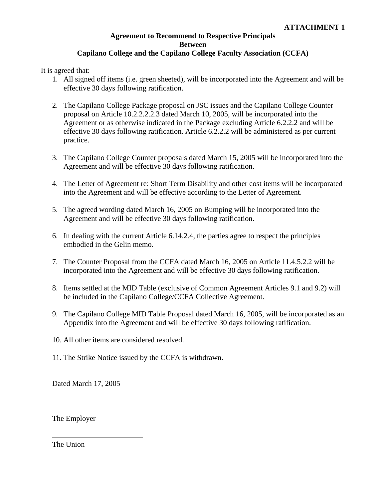## **Agreement to Recommend to Respective Principals Between Capilano College and the Capilano College Faculty Association (CCFA)**

It is agreed that:

- 1. All signed off items (i.e. green sheeted), will be incorporated into the Agreement and will be effective 30 days following ratification.
- 2. The Capilano College Package proposal on JSC issues and the Capilano College Counter proposal on Article 10.2.2.2.2.3 dated March 10, 2005, will be incorporated into the Agreement or as otherwise indicated in the Package excluding Article 6.2.2.2 and will be effective 30 days following ratification. Article 6.2.2.2 will be administered as per current practice.
- 3. The Capilano College Counter proposals dated March 15, 2005 will be incorporated into the Agreement and will be effective 30 days following ratification.
- 4. The Letter of Agreement re: Short Term Disability and other cost items will be incorporated into the Agreement and will be effective according to the Letter of Agreement.
- 5. The agreed wording dated March 16, 2005 on Bumping will be incorporated into the Agreement and will be effective 30 days following ratification.
- 6. In dealing with the current Article 6.14.2.4, the parties agree to respect the principles embodied in the Gelin memo.
- 7. The Counter Proposal from the CCFA dated March 16, 2005 on Article 11.4.5.2.2 will be incorporated into the Agreement and will be effective 30 days following ratification.
- 8. Items settled at the MID Table (exclusive of Common Agreement Articles 9.1 and 9.2) will be included in the Capilano College/CCFA Collective Agreement.
- 9. The Capilano College MID Table Proposal dated March 16, 2005, will be incorporated as an Appendix into the Agreement and will be effective 30 days following ratification.
- 10. All other items are considered resolved.
- 11. The Strike Notice issued by the CCFA is withdrawn.

Dated March 17, 2005

The Employer

The Union

 $\overline{a}$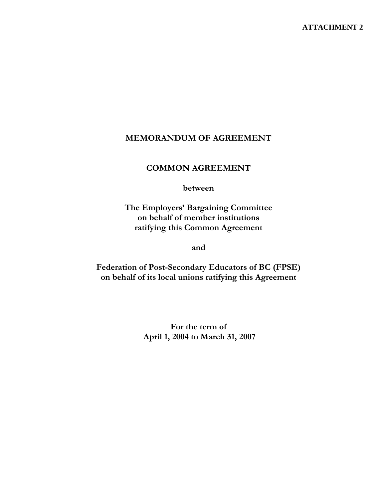## **MEMORANDUM OF AGREEMENT**

## **COMMON AGREEMENT**

**between** 

**The Employers' Bargaining Committee on behalf of member institutions ratifying this Common Agreement** 

**and** 

**Federation of Post-Secondary Educators of BC (FPSE) on behalf of its local unions ratifying this Agreement** 

> **For the term of April 1, 2004 to March 31, 2007**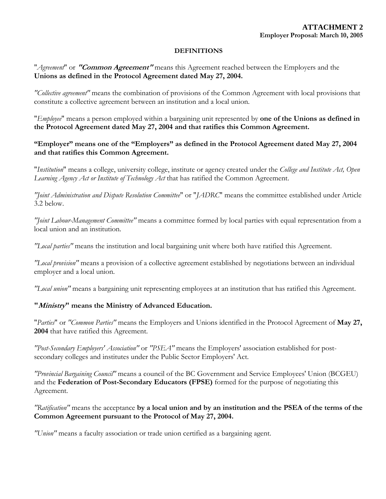#### **DEFINITIONS**

"*Agreement*" or **"Common Agreement"** means this Agreement reached between the Employers and the **Unions as defined in the Protocol Agreement dated May 27, 2004.** 

*"Collective agreement"* means the combination of provisions of the Common Agreement with local provisions that constitute a collective agreement between an institution and a local union.

"*Employee*" means a person employed within a bargaining unit represented by **one of the Unions as defined in the Protocol Agreement dated May 27, 2004 and that ratifies this Common Agreement.** 

## **"Employer" means one of the "Employers" as defined in the Protocol Agreement dated May 27, 2004 and that ratifies this Common Agreement.**

"*Institution*" means a college, university college, institute or agency created under the *College and Institute Act, Open Learning Agency Act or Institute of Technology Act* that has ratified the Common Agreement.

*"Joint Administration and Dispute Resolution Committee*" or "*JADRC*" means the committee established under Article 3.2 below.

*"Joint Labour-Management Committee"* means a committee formed by local parties with equal representation from a local union and an institution.

*"Local parties"* means the institution and local bargaining unit where both have ratified this Agreement.

*"Local provision"* means a provision of a collective agreement established by negotiations between an individual employer and a local union.

*"Local union"* means a bargaining unit representing employees at an institution that has ratified this Agreement.

#### **"Ministry" means the Ministry of Advanced Education.**

"*Parties*" or *"Common Parties"* means the Employers and Unions identified in the Protocol Agreement of **May 27, 2004** that have ratified this Agreement.

*"Post-Secondary Employers' Association"* or *"PSEA"* means the Employers' association established for postsecondary colleges and institutes under the Public Sector Employers' Act.

*"Provincial Bargaining Council"* means a council of the BC Government and Service Employees' Union (BCGEU) and the **Federation of Post-Secondary Educators (FPSE)** formed for the purpose of negotiating this Agreement.

*"Ratification"* means the acceptance **by a local union and by an institution and the PSEA of the terms of the Common Agreement pursuant to the Protocol of May 27, 2004.** 

*"Union"* means a faculty association or trade union certified as a bargaining agent.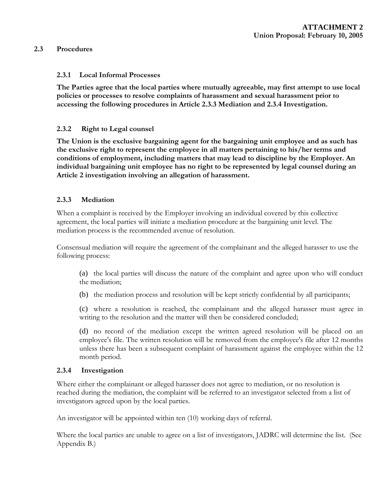#### **2.3 Procedures**

#### **2.3.1 Local Informal Processes**

**The Parties agree that the local parties where mutually agreeable, may first attempt to use local policies or processes to resolve complaints of harassment and sexual harassment prior to accessing the following procedures in Article 2.3.3 Mediation and 2.3.4 Investigation.** 

#### **2.3.2 Right to Legal counsel**

**The Union is the exclusive bargaining agent for the bargaining unit employee and as such has the exclusive right to represent the employee in all matters pertaining to his/her terms and conditions of employment, including matters that may lead to discipline by the Employer. An individual bargaining unit employee has no right to be represented by legal counsel during an Article 2 investigation involving an allegation of harassment.** 

#### **2.3.3 Mediation**

When a complaint is received by the Employer involving an individual covered by this collective agreement, the local parties will initiate a mediation procedure at the bargaining unit level. The mediation process is the recommended avenue of resolution.

Consensual mediation will require the agreement of the complainant and the alleged harasser to use the following process:

(a) the local parties will discuss the nature of the complaint and agree upon who will conduct the mediation;

(b) the mediation process and resolution will be kept strictly confidential by all participants;

(c) where a resolution is reached, the complainant and the alleged harasser must agree in writing to the resolution and the matter will then be considered concluded;

(d) no record of the mediation except the written agreed resolution will be placed on an employee's file. The written resolution will be removed from the employee's file after 12 months unless there has been a subsequent complaint of harassment against the employee within the 12 month period.

#### **2.3.4 Investigation**

Where either the complainant or alleged harasser does not agree to mediation, or no resolution is reached during the mediation, the complaint will be referred to an investigator selected from a list of investigators agreed upon by the local parties.

An investigator will be appointed within ten (10) working days of referral.

Where the local parties are unable to agree on a list of investigators, JADRC will determine the list. (See Appendix B.)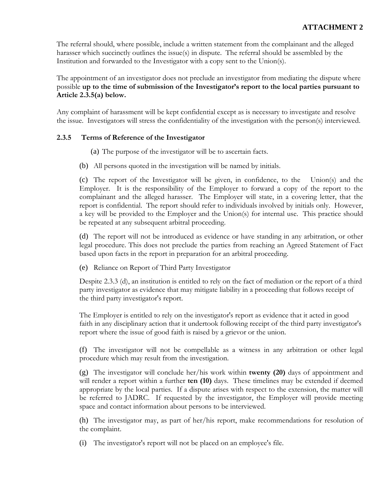The referral should, where possible, include a written statement from the complainant and the alleged harasser which succinctly outlines the issue(s) in dispute. The referral should be assembled by the Institution and forwarded to the Investigator with a copy sent to the Union(s).

The appointment of an investigator does not preclude an investigator from mediating the dispute where possible **up to the time of submission of the Investigator's report to the local parties pursuant to Article 2.3.5(a) below.** 

Any complaint of harassment will be kept confidential except as is necessary to investigate and resolve the issue. Investigators will stress the confidentiality of the investigation with the person(s) interviewed.

## **2.3.5 Terms of Reference of the Investigator**

(a) The purpose of the investigator will be to ascertain facts.

(b) All persons quoted in the investigation will be named by initials.

(c) The report of the Investigator will be given, in confidence, to the Union(s) and the Employer. It is the responsibility of the Employer to forward a copy of the report to the complainant and the alleged harasser. The Employer will state, in a covering letter, that the report is confidential. The report should refer to individuals involved by initials only. However, a key will be provided to the Employer and the Union(s) for internal use. This practice should be repeated at any subsequent arbitral proceeding.

(d) The report will not be introduced as evidence or have standing in any arbitration, or other legal procedure. This does not preclude the parties from reaching an Agreed Statement of Fact based upon facts in the report in preparation for an arbitral proceeding.

(e) Reliance on Report of Third Party Investigator

Despite 2.3.3 (d), an institution is entitled to rely on the fact of mediation or the report of a third party investigator as evidence that may mitigate liability in a proceeding that follows receipt of the third party investigator's report.

The Employer is entitled to rely on the investigator's report as evidence that it acted in good faith in any disciplinary action that it undertook following receipt of the third party investigator's report where the issue of good faith is raised by a grievor or the union.

(f) The investigator will not be compellable as a witness in any arbitration or other legal procedure which may result from the investigation.

(g) The investigator will conclude her/his work within **twenty (20)** days of appointment and will render a report within a further **ten (10)** days. These timelines may be extended if deemed appropriate by the local parties. If a dispute arises with respect to the extension, the matter will be referred to JADRC. If requested by the investigator, the Employer will provide meeting space and contact information about persons to be interviewed.

(h) The investigator may, as part of her/his report, make recommendations for resolution of the complaint.

(i) The investigator's report will not be placed on an employee's file.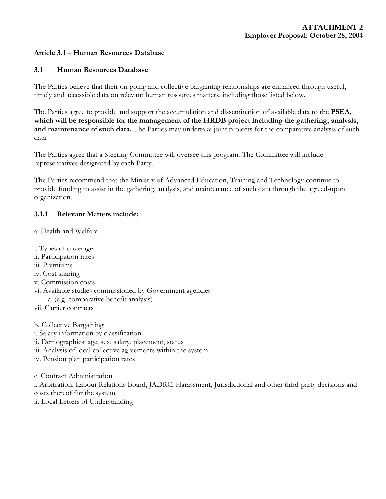#### **Article 3.1 – Human Resources Database**

#### **3.1 Human Resources Database**

The Parties believe that their on-going and collective bargaining relationships are enhanced through useful, timely and accessible data on relevant human resources matters, including those listed below.

The Parties agree to provide and support the accumulation and dissemination of available data to the **PSEA, which will be responsible for the management of the HRDB project including the gathering, analysis, and maintenance of such data.** The Parties may undertake joint projects for the comparative analysis of such data.

The Parties agree that a Steering Committee will oversee this program. The Committee will include representatives designated by each Party.

The Parties recommend that the Ministry of Advanced Education, Training and Technology continue to provide funding to assist in the gathering, analysis, and maintenance of such data through the agreed-upon organization.

#### **3.1.1 Relevant Matters include:**

a. Health and Welfare

- i. Types of coverage
- ii. Participation rates
- iii. Premiums
- iv. Cost sharing
- v. Commission costs
- vi. Available studies commissioned by Government agencies
- a. (e.g. comparative benefit analysis)
- vii. Carrier contracts

b. Collective Bargaining

- i. Salary information by classification
- ii. Demographics: age, sex, salary, placement, status
- iii. Analysis of local collective agreements within the system
- iv. Pension plan participation rates

c. Contract Administration

i. Arbitration, Labour Relations Board, JADRC, Harassment, Jurisdictional and other third-party decisions and costs thereof for the system

ii. Local Letters of Understanding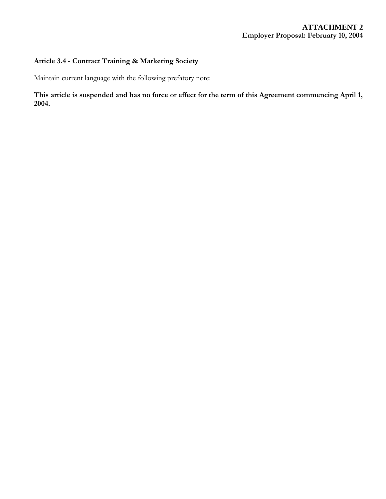## **Article 3.4 - Contract Training & Marketing Society**

Maintain current language with the following prefatory note:

## **This article is suspended and has no force or effect for the term of this Agreement commencing April 1, 2004.**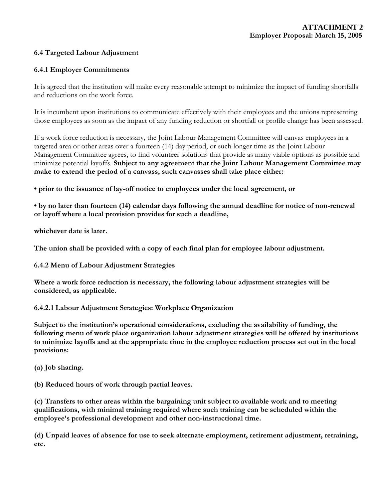#### **6.4 Targeted Labour Adjustment**

#### **6.4.1 Employer Commitments**

It is agreed that the institution will make every reasonable attempt to minimize the impact of funding shortfalls and reductions on the work force.

It is incumbent upon institutions to communicate effectively with their employees and the unions representing those employees as soon as the impact of any funding reduction or shortfall or profile change has been assessed.

If a work force reduction is necessary, the Joint Labour Management Committee will canvas employees in a targeted area or other areas over a fourteen (14) day period, or such longer time as the Joint Labour Management Committee agrees, to find volunteer solutions that provide as many viable options as possible and minimize potential layoffs. **Subject to any agreement that the Joint Labour Management Committee may make to extend the period of a canvass, such canvasses shall take place either:** 

**• prior to the issuance of lay-off notice to employees under the local agreement, or** 

**• by no later than fourteen (14) calendar days following the annual deadline for notice of non-renewal or layoff where a local provision provides for such a deadline,** 

**whichever date is later.** 

**The union shall be provided with a copy of each final plan for employee labour adjustment.**

**6.4.2 Menu of Labour Adjustment Strategies**

**Where a work force reduction is necessary, the following labour adjustment strategies will be considered, as applicable.**

#### **6.4.2.1 Labour Adjustment Strategies: Workplace Organization**

**Subject to the institution's operational considerations, excluding the availability of funding, the following menu of work place organization labour adjustment strategies will be offered by institutions to minimize layoffs and at the appropriate time in the employee reduction process set out in the local provisions:**

**(a) Job sharing.** 

**(b) Reduced hours of work through partial leaves.** 

**(c) Transfers to other areas within the bargaining unit subject to available work and to meeting qualifications, with minimal training required where such training can be scheduled within the employee's professional development and other non-instructional time.** 

**(d) Unpaid leaves of absence for use to seek alternate employment, retirement adjustment, retraining, etc.**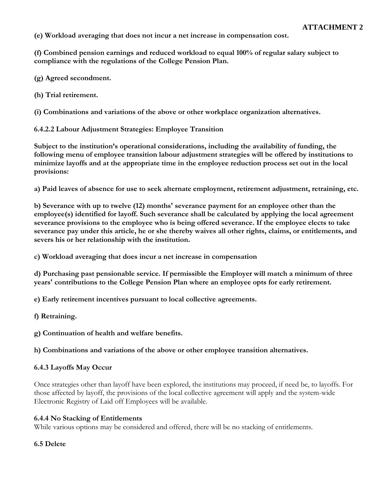**(e) Workload averaging that does not incur a net increase in compensation cost.** 

**(f) Combined pension earnings and reduced workload to equal 100% of regular salary subject to compliance with the regulations of the College Pension Plan.** 

- **(g) Agreed secondment.**
- **(h) Trial retirement.**

**(i) Combinations and variations of the above or other workplace organization alternatives.**

**6.4.2.2 Labour Adjustment Strategies: Employee Transition**

**Subject to the institution's operational considerations, including the availability of funding, the following menu of employee transition labour adjustment strategies will be offered by institutions to minimize layoffs and at the appropriate time in the employee reduction process set out in the local provisions:** 

**a) Paid leaves of absence for use to seek alternate employment, retirement adjustment, retraining, etc.** 

**b) Severance with up to twelve (12) months' severance payment for an employee other than the employee(s) identified for layoff. Such severance shall be calculated by applying the local agreement severance provisions to the employee who is being offered severance. If the employee elects to take severance pay under this article, he or she thereby waives all other rights, claims, or entitlements, and severs his or her relationship with the institution.** 

**c) Workload averaging that does incur a net increase in compensation** 

**d) Purchasing past pensionable service. If permissible the Employer will match a minimum of three years' contributions to the College Pension Plan where an employee opts for early retirement.** 

**e) Early retirement incentives pursuant to local collective agreements.** 

**f) Retraining.** 

**g) Continuation of health and welfare benefits.** 

**h) Combinations and variations of the above or other employee transition alternatives.** 

#### **6.4.3 Layoffs May Occur**

Once strategies other than layoff have been explored, the institutions may proceed, if need be, to layoffs. For those affected by layoff, the provisions of the local collective agreement will apply and the system-wide Electronic Registry of Laid off Employees will be available.

#### **6.4.4 No Stacking of Entitlements**

While various options may be considered and offered, there will be no stacking of entitlements.

#### **6.5 Delete**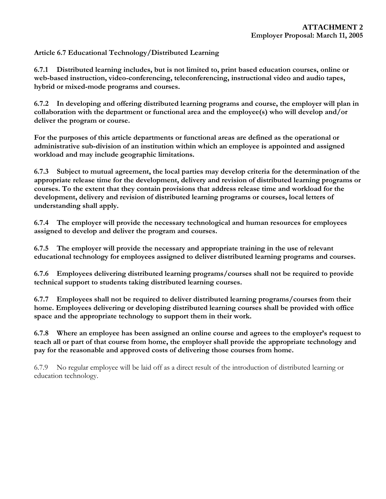**Article 6.7 Educational Technology/Distributed Learning**

**6.7.1 Distributed learning includes, but is not limited to, print based education courses, online or web-based instruction, video-conferencing, teleconferencing, instructional video and audio tapes, hybrid or mixed-mode programs and courses.** 

**6.7.2 In developing and offering distributed learning programs and course, the employer will plan in collaboration with the department or functional area and the employee(s) who will develop and/or deliver the program or course.** 

**For the purposes of this article departments or functional areas are defined as the operational or administrative sub-division of an institution within which an employee is appointed and assigned workload and may include geographic limitations.** 

**6.7.3 Subject to mutual agreement, the local parties may develop criteria for the determination of the appropriate release time for the development, delivery and revision of distributed learning programs or courses. To the extent that they contain provisions that address release time and workload for the development, delivery and revision of distributed learning programs or courses, local letters of understanding shall apply.** 

**6.7.4 The employer will provide the necessary technological and human resources for employees assigned to develop and deliver the program and courses.** 

**6.7.5 The employer will provide the necessary and appropriate training in the use of relevant educational technology for employees assigned to deliver distributed learning programs and courses.** 

**6.7.6 Employees delivering distributed learning programs/courses shall not be required to provide technical support to students taking distributed learning courses.** 

**6.7.7 Employees shall not be required to deliver distributed learning programs/courses from their home. Employees delivering or developing distributed learning courses shall be provided with office space and the appropriate technology to support them in their work.** 

**6.7.8 Where an employee has been assigned an online course and agrees to the employer's request to teach all or part of that course from home, the employer shall provide the appropriate technology and pay for the reasonable and approved costs of delivering those courses from home.**

6.7.9 No regular employee will be laid off as a direct result of the introduction of distributed learning or education technology.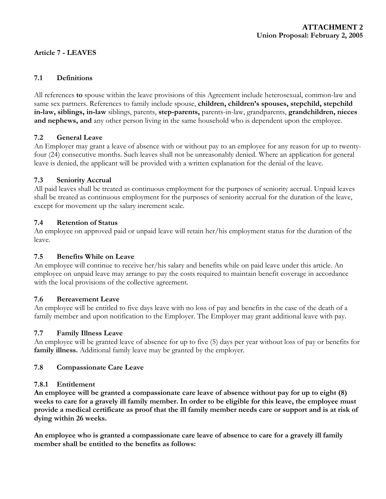## **Article 7 - LEAVES**

#### **7.1 Definitions**

All references **to** spouse within the leave provisions of this Agreement include heterosexual, common-law and same sex partners. References to family include spouse, **children, children's spouses, stepchild, stepchild in-law, siblings, in-law** siblings, parents, **step-parents,** parents-in-law, grandparents, **grandchildren, nieces and nephews, and** any other person living in the same household who is dependent upon the employee.

#### **7.2 General Leave**

An Employer may grant a leave of absence with or without pay to an employee for any reason for up to twentyfour (24) consecutive months. Such leaves shall not be unreasonably denied. Where an application for general leave is denied, the applicant will be provided with a written explanation for the denial of the leave.

#### **7.3 Seniority Accrual**

All paid leaves shall be treated as continuous employment for the purposes of seniority accrual. Unpaid leaves shall be treated as continuous employment for the purposes of seniority accrual for the duration of the leave, except for movement up the salary increment scale.

#### **7.4 Retention of Status**

An employee on approved paid or unpaid leave will retain her/his employment status for the duration of the leave.

#### **7.5 Benefits While on Leave**

An employee will continue to receive her/his salary and benefits while on paid leave under this article. An employee on unpaid leave may arrange to pay the costs required to maintain benefit coverage in accordance with the local provisions of the collective agreement.

#### **7.6 Bereavement Leave**

An employee will be entitled to five days leave with no loss of pay and benefits in the case of the death of a family member and upon notification to the Employer. The Employer may grant additional leave with pay.

#### **7.7 Family Illness Leave**

An employee will be granted leave of absence for up to five (5) days per year without loss of pay or benefits for **family illness.** Additional family leave may be granted by the employer.

#### **7.8 Compassionate Care Leave**

#### **7.8.1 Entitlement**

**An employee will be granted a compassionate care leave of absence without pay for up to eight (8) weeks to care for a gravely ill family member. In order to be eligible for this leave, the employee must provide a medical certificate as proof that the ill family member needs care or support and is at risk of dying within 26 weeks.** 

**An employee who is granted a compassionate care leave of absence to care for a gravely ill family member shall be entitled to the benefits as follows:**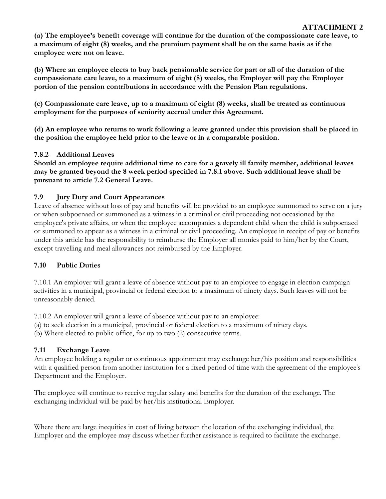**(a) The employee's benefit coverage will continue for the duration of the compassionate care leave, to a maximum of eight (8) weeks, and the premium payment shall be on the same basis as if the employee were not on leave.** 

**(b) Where an employee elects to buy back pensionable service for part or all of the duration of the compassionate care leave, to a maximum of eight (8) weeks, the Employer will pay the Employer portion of the pension contributions in accordance with the Pension Plan regulations.** 

**(c) Compassionate care leave, up to a maximum of eight (8) weeks, shall be treated as continuous employment for the purposes of seniority accrual under this Agreement.** 

**(d) An employee who returns to work following a leave granted under this provision shall be placed in the position the employee held prior to the leave or in a comparable position.** 

#### **7.8.2 Additional Leaves**

**Should an employee require additional time to care for a gravely ill family member, additional leaves may be granted beyond the 8 week period specified in 7.8.1 above. Such additional leave shall be pursuant to article 7.2 General Leave.** 

## **7.9 Jury Duty and Court Appearances**

Leave of absence without loss of pay and benefits will be provided to an employee summoned to serve on a jury or when subpoenaed or summoned as a witness in a criminal or civil proceeding not occasioned by the employee's private affairs, or when the employee accompanies a dependent child when the child is subpoenaed or summoned to appear as a witness in a criminal or civil proceeding. An employee in receipt of pay or benefits under this article has the responsibility to reimburse the Employer all monies paid to him/her by the Court, except travelling and meal allowances not reimbursed by the Employer.

## **7.10 Public Duties**

7.10.1 An employer will grant a leave of absence without pay to an employee to engage in election campaign activities in a municipal, provincial or federal election to a maximum of ninety days. Such leaves will not be unreasonably denied.

7.10.2 An employer will grant a leave of absence without pay to an employee:

(a) to seek election in a municipal, provincial or federal election to a maximum of ninety days.

(b) Where elected to public office, for up to two (2) consecutive terms.

## **7.11 Exchange Leave**

An employee holding a regular or continuous appointment may exchange her/his position and responsibilities with a qualified person from another institution for a fixed period of time with the agreement of the employee's Department and the Employer.

The employee will continue to receive regular salary and benefits for the duration of the exchange. The exchanging individual will be paid by her/his institutional Employer.

Where there are large inequities in cost of living between the location of the exchanging individual, the Employer and the employee may discuss whether further assistance is required to facilitate the exchange.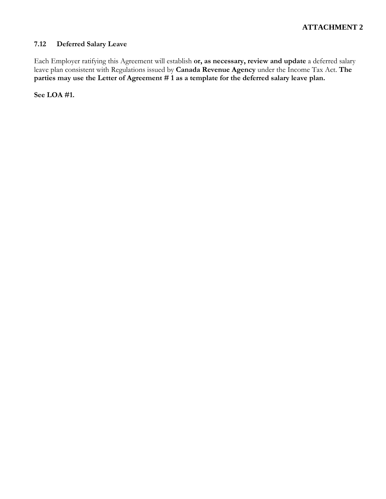## **7.12 Deferred Salary Leave**

Each Employer ratifying this Agreement will establish **or, as necessary, review and update** a deferred salary leave plan consistent with Regulations issued by **Canada Revenue Agency** under the Income Tax Act. **The**  parties may use the Letter of Agreement # 1 as a template for the deferred salary leave plan.

**See LOA #1.**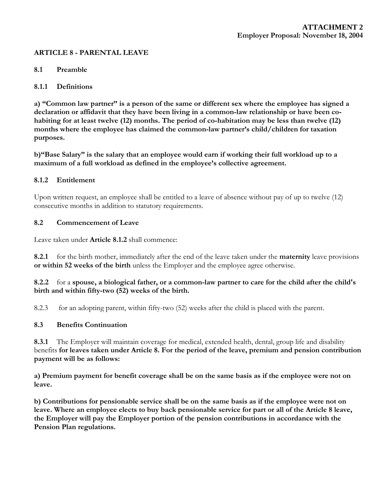#### **ARTICLE 8 - PARENTAL LEAVE**

#### **8.1 Preamble**

#### **8.1.1 Definitions**

**a) "Common law partner" is a person of the same or different sex where the employee has signed a declaration or affidavit that they have been living in a common-law relationship or have been cohabiting for at least twelve (12) months. The period of co-habitation may be less than twelve (12) months where the employee has claimed the common-law partner's child/children for taxation purposes.** 

**b)"Base Salary" is the salary that an employee would earn if working their full workload up to a maximum of a full workload as defined in the employee's collective agreement.** 

#### **8.1.2 Entitlement**

Upon written request, an employee shall be entitled to a leave of absence without pay of up to twelve (12) consecutive months in addition to statutory requirements.

#### **8.2 Commencement of Leave**

Leave taken under **Article 8.1.2** shall commence:

**8.2.1** for the birth mother, immediately after the end of the leave taken under the **maternity** leave provisions **or within 52 weeks of the birth** unless the Employer and the employee agree otherwise.

#### **8.2.2** for a **spouse, a biological father, or a common-law partner to care for the child after the child's birth and within fifty-two (52) weeks of the birth.**

8.2.3 for an adopting parent, within fifty-two (52) weeks after the child is placed with the parent.

#### **8.3 Benefits Continuation**

**8.3.1** The Employer will maintain coverage for medical, extended health, dental, group life and disability benefits **for leaves taken under Article 8. For the period of the leave, premium and pension contribution payment will be as follows:** 

**a) Premium payment for benefit coverage shall be on the same basis as if the employee were not on leave.** 

**b) Contributions for pensionable service shall be on the same basis as if the employee were not on leave. Where an employee elects to buy back pensionable service for part or all of the Article 8 leave, the Employer will pay the Employer portion of the pension contributions in accordance with the Pension Plan regulations.**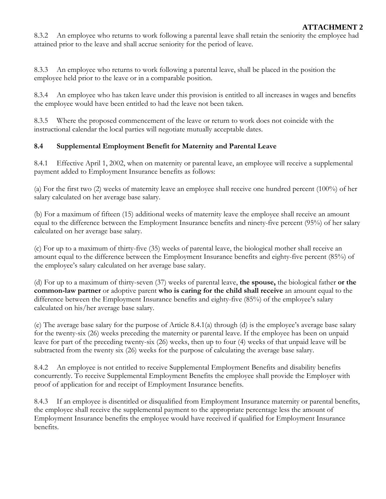8.3.2 An employee who returns to work following a parental leave shall retain the seniority the employee had attained prior to the leave and shall accrue seniority for the period of leave.

8.3.3 An employee who returns to work following a parental leave, shall be placed in the position the employee held prior to the leave or in a comparable position.

8.3.4 An employee who has taken leave under this provision is entitled to all increases in wages and benefits the employee would have been entitled to had the leave not been taken.

8.3.5 Where the proposed commencement of the leave or return to work does not coincide with the instructional calendar the local parties will negotiate mutually acceptable dates.

## **8.4 Supplemental Employment Benefit for Maternity and Parental Leave**

8.4.1 Effective April 1, 2002, when on maternity or parental leave, an employee will receive a supplemental payment added to Employment Insurance benefits as follows:

(a) For the first two (2) weeks of maternity leave an employee shall receive one hundred percent (100%) of her salary calculated on her average base salary.

(b) For a maximum of fifteen (15) additional weeks of maternity leave the employee shall receive an amount equal to the difference between the Employment Insurance benefits and ninety-five percent (95%) of her salary calculated on her average base salary.

(c) For up to a maximum of thirty-five (35) weeks of parental leave, the biological mother shall receive an amount equal to the difference between the Employment Insurance benefits and eighty-five percent (85%) of the employee's salary calculated on her average base salary.

(d) For up to a maximum of thirty-seven (37) weeks of parental leave, **the spouse,** the biological father **or the common-law partner** or adoptive parent **who is caring for the child shall receive** an amount equal to the difference between the Employment Insurance benefits and eighty-five (85%) of the employee's salary calculated on his/her average base salary.

(e) The average base salary for the purpose of Article 8.4.1(a) through (d) is the employee's average base salary for the twenty-six (26) weeks preceding the maternity or parental leave. If the employee has been on unpaid leave for part of the preceding twenty-six (26) weeks, then up to four (4) weeks of that unpaid leave will be subtracted from the twenty six (26) weeks for the purpose of calculating the average base salary.

8.4.2 An employee is not entitled to receive Supplemental Employment Benefits and disability benefits concurrently. To receive Supplemental Employment Benefits the employee shall provide the Employer with proof of application for and receipt of Employment Insurance benefits.

8.4.3 If an employee is disentitled or disqualified from Employment Insurance maternity or parental benefits, the employee shall receive the supplemental payment to the appropriate percentage less the amount of Employment Insurance benefits the employee would have received if qualified for Employment Insurance benefits.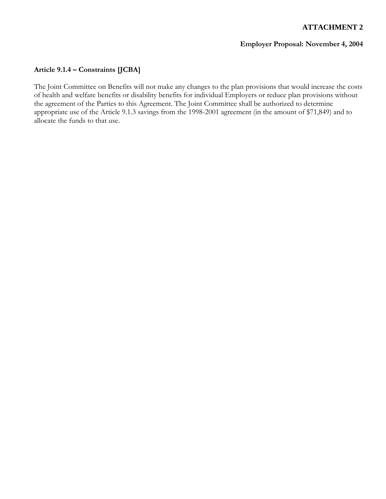#### **Employer Proposal: November 4, 2004**

## **Article 9.1.4 – Constraints [JCBA]**

The Joint Committee on Benefits will not make any changes to the plan provisions that would increase the costs of health and welfare benefits or disability benefits for individual Employers or reduce plan provisions without the agreement of the Parties to this Agreement. The Joint Committee shall be authorized to determine appropriate use of the Article 9.1.3 savings from the 1998-2001 agreement (in the amount of \$71,849) and to allocate the funds to that use.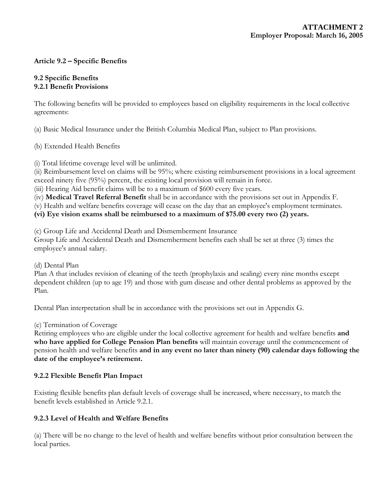## **Article 9.2 – Specific Benefits**

#### **9.2 Specific Benefits 9.2.1 Benefit Provisions**

The following benefits will be provided to employees based on eligibility requirements in the local collective agreements:

(a) Basic Medical Insurance under the British Columbia Medical Plan, subject to Plan provisions.

(b) Extended Health Benefits

(i) Total lifetime coverage level will be unlimited.

(ii) Reimbursement level on claims will be 95%; where existing reimbursement provisions in a local agreement exceed ninety five (95%) percent, the existing local provision will remain in force.

(iii) Hearing Aid benefit claims will be to a maximum of \$600 every five years.

(iv) **Medical Travel Referral Benefit** shall be in accordance with the provisions set out in Appendix F.

(v) Health and welfare benefits coverage will cease on the day that an employee's employment terminates.

**(vi) Eye vision exams shall be reimbursed to a maximum of \$75.00 every two (2) years.**

(c) Group Life and Accidental Death and Dismemberment Insurance

Group Life and Accidental Death and Dismemberment benefits each shall be set at three (3) times the employee's annual salary.

(d) Dental Plan

Plan A that includes revision of cleaning of the teeth (prophylaxis and scaling) every nine months except dependent children (up to age 19) and those with gum disease and other dental problems as approved by the Plan.

Dental Plan interpretation shall be in accordance with the provisions set out in Appendix G.

(e) Termination of Coverage

Retiring employees who are eligible under the local collective agreement for health and welfare benefits **and who have applied for College Pension Plan benefits** will maintain coverage until the commencement of pension health and welfare benefits **and in any event no later than ninety (90) calendar days following the date of the employee's retirement.** 

#### **9.2.2 Flexible Benefit Plan Impact**

Existing flexible benefits plan default levels of coverage shall be increased, where necessary, to match the benefit levels established in Article 9.2.1.

#### **9.2.3 Level of Health and Welfare Benefits**

(a) There will be no change to the level of health and welfare benefits without prior consultation between the local parties.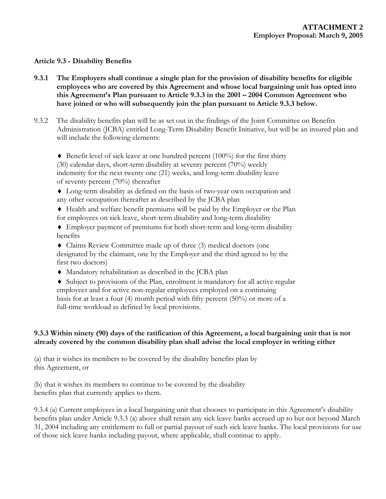#### **Article 9.3 - Disability Benefits**

- **9.3.1 The Employers shall continue a single plan for the provision of disability benefits for eligible employees who are covered by this Agreement and whose local bargaining unit has opted into this Agreement's Plan pursuant to Article 9.3.3 in the 2001 – 2004 Common Agreement who have joined or who will subsequently join the plan pursuant to Article 9.3.3 below.**
- 9.3.2 The disability benefits plan will be as set out in the findings of the Joint Committee on Benefits Administration (JCBA) entitled Long-Term Disability Benefit Initiative, but will be an insured plan and will include the following elements:

 $\blacklozenge$  Benefit level of sick leave at one hundred percent (100%) for the first thirty (30) calendar days, short-term disability at seventy percent (70%) weekly indemnity for the next twenty one (21) weeks, and long-term disability leave of seventy percent (70%) thereafter

♦ Long-term disability as defined on the basis of two-year own occupation and any other occupation thereafter as described by the JCBA plan

- ♦ Health and welfare benefit premiums will be paid by the Employer or the Plan for employees on sick leave, short-term disability and long-term disability
- ♦ Employer payment of premiums for both short-term and long-term disability benefits

♦ Claims Review Committee made up of three (3) medical doctors (one designated by the claimant, one by the Employer and the third agreed to by the first two doctors)

♦ Mandatory rehabilitation as described in the JCBA plan

♦ Subject to provisions of the Plan, enrolment is mandatory for all active regular employees and for active non-regular employees employed on a continuing basis for at least a four (4) month period with fifty percent (50%) or more of a full-time workload as defined by local provisions.

## **9.3.3 Within ninety (90) days of the ratification of this Agreement, a local bargaining unit that is not already covered by the common disability plan shall advise the local employer in writing either**

(a) that it wishes its members to be covered by the disability benefits plan by this Agreement, or

(b) that it wishes its members to continue to be covered by the disability benefits plan that currently applies to them.

9.3.4 (a) Current employees in a local bargaining unit that chooses to participate in this Agreement's disability benefits plan under Article 9.3.3 (a) above shall retain any sick leave banks accrued up to but not beyond March 31, 2004 including any entitlement to full or partial payout of such sick leave banks. The local provisions for use of those sick leave banks including payout, where applicable, shall continue to apply.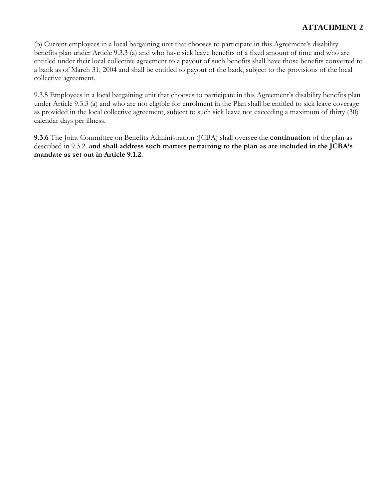(b) Current employees in a local bargaining unit that chooses to participate in this Agreement's disability benefits plan under Article 9.3.3 (a) and who have sick leave benefits of a fixed amount of time and who are entitled under their local collective agreement to a payout of such benefits shall have those benefits converted to a bank as of March 31, 2004 and shall be entitled to payout of the bank, subject to the provisions of the local collective agreement.

9.3.5 Employees in a local bargaining unit that chooses to participate in this Agreement's disability benefits plan under Article 9.3.3 (a) and who are not eligible for enrolment in the Plan shall be entitled to sick leave coverage as provided in the local collective agreement, subject to such sick leave not exceeding a maximum of thirty (30) calendar days per illness.

**9.3.6** The Joint Committee on Benefits Administration (JCBA) shall oversee the **continuation** of the plan as described in 9.3.2. **and shall address such matters pertaining to the plan as are included in the JCBA's mandate as set out in Article 9.1.2.**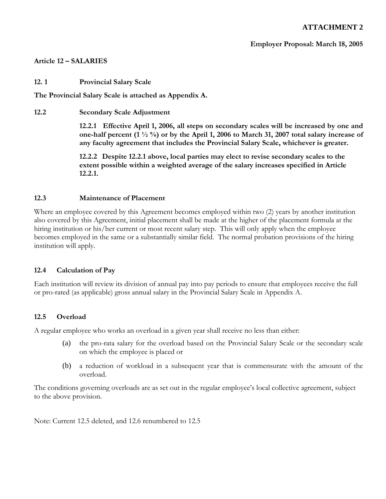**Employer Proposal: March 18, 2005** 

#### **Article 12 – SALARIES**

**12. 1 Provincial Salary Scale** 

**The Provincial Salary Scale is attached as Appendix A.** 

**12.2 Secondary Scale Adjustment** 

**12.2.1 Effective April 1, 2006, all steps on secondary scales will be increased by one and one-half percent (1 ½ %) or by the April 1, 2006 to March 31, 2007 total salary increase of any faculty agreement that includes the Provincial Salary Scale, whichever is greater.** 

**12.2.2 Despite 12.2.1 above, local parties may elect to revise secondary scales to the extent possible within a weighted average of the salary increases specified in Article 12.2.1.** 

#### **12.3 Maintenance of Placement**

Where an employee covered by this Agreement becomes employed within two (2) years by another institution also covered by this Agreement, initial placement shall be made at the higher of the placement formula at the hiring institution or his/her current or most recent salary step. This will only apply when the employee becomes employed in the same or a substantially similar field. The normal probation provisions of the hiring institution will apply.

#### **12.4 Calculation of Pay**

Each institution will review its division of annual pay into pay periods to ensure that employees receive the full or pro-rated (as applicable) gross annual salary in the Provincial Salary Scale in Appendix A.

#### **12.5 Overload**

A regular employee who works an overload in a given year shall receive no less than either:

- (a) the pro-rata salary for the overload based on the Provincial Salary Scale or the secondary scale on which the employee is placed or
- (b) a reduction of workload in a subsequent year that is commensurate with the amount of the overload.

The conditions governing overloads are as set out in the regular employee's local collective agreement, subject to the above provision.

Note: Current 12.5 deleted, and 12.6 renumbered to 12.5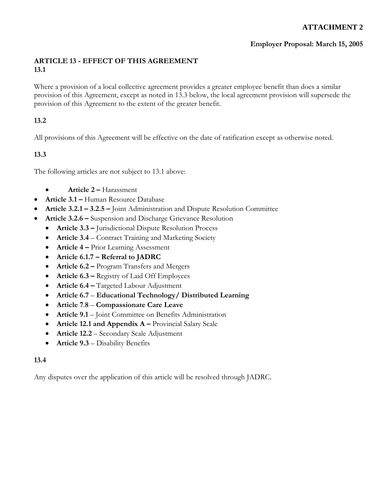## **Employer Proposal: March 15, 2005**

## **ARTICLE 13 - EFFECT OF THIS AGREEMENT 13.1**

Where a provision of a local collective agreement provides a greater employee benefit than does a similar provision of this Agreement, except as noted in 13.3 below, the local agreement provision will supersede the provision of this Agreement to the extent of the greater benefit.

## **13.2**

All provisions of this Agreement will be effective on the date of ratification except as otherwise noted.

## **13.3**

The following articles are not subject to 13.1 above:

- **Article 2** Harassment
- **Article 3.1** Human Resource Database
- **Article 3.2.1 3.2.5** Joint Administration and Dispute Resolution Committee
- **Article 3.2.6** Suspension and Discharge Grievance Resolution
	- **Article 3.3** Jurisdictional Dispute Resolution Process
	- **Article 3.4**  Contract Training and Marketing Society
	- **Article 4** Prior Learning Assessment
	- **Article 6.1.7 Referral to JADRC**
	- **Article 6.2** Program Transfers and Mergers
	- **Article 6.3 Registry of Laid Off Employees**
	- **Article 6.4** Targeted Labour Adjustment
	- **Article 6.7 Educational Technology/ Distributed Learning**
	- **Article 7**.**8 Compassionate Care Leave**
	- **Article 9.1** Joint Committee on Benefits Administration
	- **Article 12.1 and Appendix A** Provincial Salary Scale
	- **Article 12.2**  Secondary Scale Adjustment
	- **Article 9.3**  Disability Benefits

#### **13.4**

Any disputes over the application of this article will be resolved through JADRC.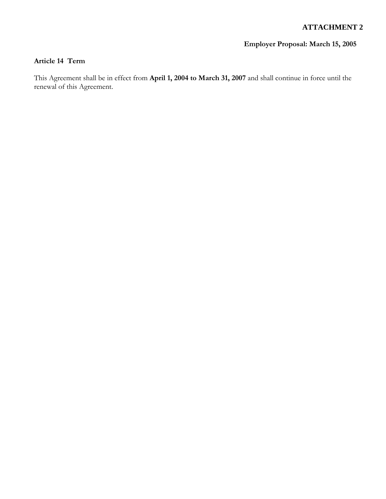## **Employer Proposal: March 15, 2005**

## **Article 14 Term**

This Agreement shall be in effect from **April 1, 2004 to March 31, 2007** and shall continue in force until the renewal of this Agreement.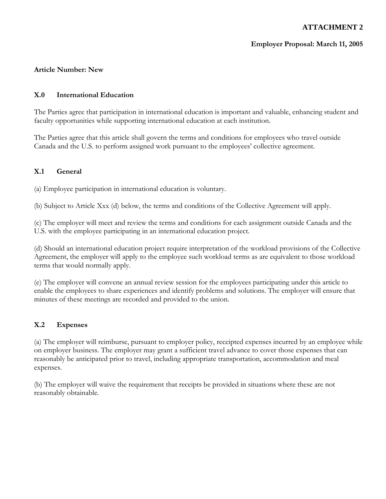## **Employer Proposal: March 11, 2005**

#### **Article Number: New**

#### **X.0 International Education**

The Parties agree that participation in international education is important and valuable, enhancing student and faculty opportunities while supporting international education at each institution.

The Parties agree that this article shall govern the terms and conditions for employees who travel outside Canada and the U.S. to perform assigned work pursuant to the employees' collective agreement.

#### **X.1 General**

(a) Employee participation in international education is voluntary.

(b) Subject to Article Xxx (d) below, the terms and conditions of the Collective Agreement will apply.

(c) The employer will meet and review the terms and conditions for each assignment outside Canada and the U.S. with the employee participating in an international education project.

(d) Should an international education project require interpretation of the workload provisions of the Collective Agreement, the employer will apply to the employee such workload terms as are equivalent to those workload terms that would normally apply.

(e) The employer will convene an annual review session for the employees participating under this article to enable the employees to share experiences and identify problems and solutions. The employer will ensure that minutes of these meetings are recorded and provided to the union.

#### **X.2 Expenses**

(a) The employer will reimburse, pursuant to employer policy, receipted expenses incurred by an employee while on employer business. The employer may grant a sufficient travel advance to cover those expenses that can reasonably be anticipated prior to travel, including appropriate transportation, accommodation and meal expenses.

(b) The employer will waive the requirement that receipts be provided in situations where these are not reasonably obtainable.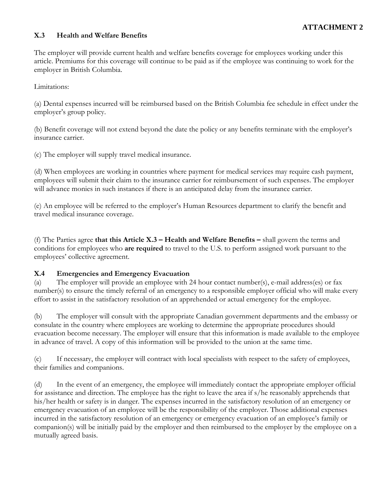## **X.3 Health and Welfare Benefits**

The employer will provide current health and welfare benefits coverage for employees working under this article. Premiums for this coverage will continue to be paid as if the employee was continuing to work for the employer in British Columbia.

Limitations:

(a) Dental expenses incurred will be reimbursed based on the British Columbia fee schedule in effect under the employer's group policy.

(b) Benefit coverage will not extend beyond the date the policy or any benefits terminate with the employer's insurance carrier.

(c) The employer will supply travel medical insurance.

(d) When employees are working in countries where payment for medical services may require cash payment, employees will submit their claim to the insurance carrier for reimbursement of such expenses. The employer will advance monies in such instances if there is an anticipated delay from the insurance carrier.

(e) An employee will be referred to the employer's Human Resources department to clarify the benefit and travel medical insurance coverage.

(f) The Parties agree **that this Article X.3 – Health and Welfare Benefits –** shall govern the terms and conditions for employees who **are required** to travel to the U.S. to perform assigned work pursuant to the employees' collective agreement.

#### **X.4 Emergencies and Emergency Evacuation**

(a) The employer will provide an employee with 24 hour contact number(s), e-mail address(es) or fax number(s) to ensure the timely referral of an emergency to a responsible employer official who will make every effort to assist in the satisfactory resolution of an apprehended or actual emergency for the employee.

(b) The employer will consult with the appropriate Canadian government departments and the embassy or consulate in the country where employees are working to determine the appropriate procedures should evacuation become necessary. The employer will ensure that this information is made available to the employee in advance of travel. A copy of this information will be provided to the union at the same time.

(c) If necessary, the employer will contract with local specialists with respect to the safety of employees, their families and companions.

(d) In the event of an emergency, the employee will immediately contact the appropriate employer official for assistance and direction. The employee has the right to leave the area if s/he reasonably apprehends that his/her health or safety is in danger. The expenses incurred in the satisfactory resolution of an emergency or emergency evacuation of an employee will be the responsibility of the employer. Those additional expenses incurred in the satisfactory resolution of an emergency or emergency evacuation of an employee's family or companion(s) will be initially paid by the employer and then reimbursed to the employer by the employee on a mutually agreed basis.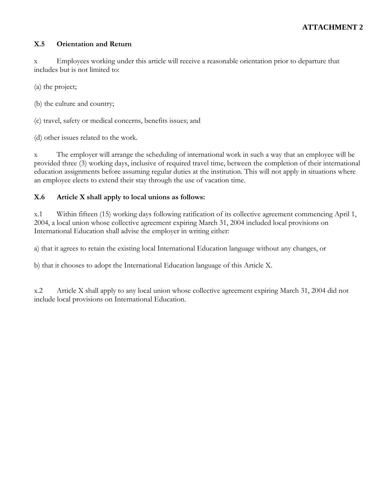### **X.5 Orientation and Return**

x Employees working under this article will receive a reasonable orientation prior to departure that includes but is not limited to:

(a) the project;

(b) the culture and country;

(c) travel, safety or medical concerns, benefits issues; and

(d) other issues related to the work.

x The employer will arrange the scheduling of international work in such a way that an employee will be provided three (3) working days, inclusive of required travel time, between the completion of their international education assignments before assuming regular duties at the institution. This will not apply in situations where an employee elects to extend their stay through the use of vacation time.

## **X.6 Article X shall apply to local unions as follows:**

x.1 Within fifteen (15) working days following ratification of its collective agreement commencing April 1, 2004, a local union whose collective agreement expiring March 31, 2004 included local provisions on International Education shall advise the employer in writing either:

a) that it agrees to retain the existing local International Education language without any changes, or

b) that it chooses to adopt the International Education language of this Article X.

x.2 Article X shall apply to any local union whose collective agreement expiring March 31, 2004 did not include local provisions on International Education.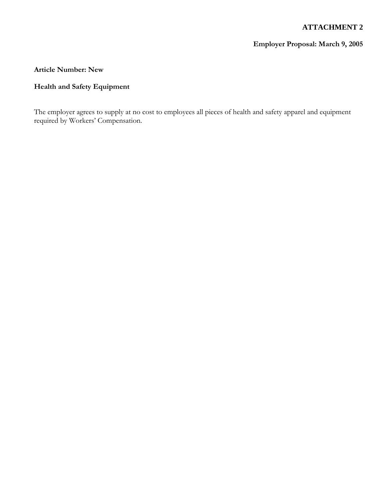## **Employer Proposal: March 9, 2005**

#### **Article Number: New**

## **Health and Safety Equipment**

The employer agrees to supply at no cost to employees all pieces of health and safety apparel and equipment required by Workers' Compensation.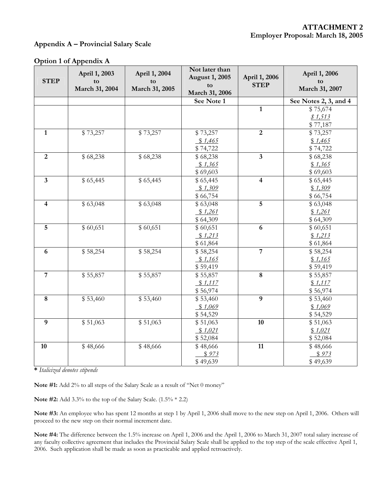#### **Appendix A – Provincial Salary Scale**

| <b>STEP</b>             | April 1, 2003<br>to<br>March 31, 2004 | April 1, 2004<br>to<br>March 31, 2005 | Not later than<br><b>August 1, 2005</b><br>tΩ<br>March 31, 2006 | April 1, 2006<br><b>STEP</b> | April 1, 2006<br>to<br>March 31, 2007 |
|-------------------------|---------------------------------------|---------------------------------------|-----------------------------------------------------------------|------------------------------|---------------------------------------|
|                         |                                       |                                       | See Note 1                                                      |                              | See Notes 2, 3, and 4                 |
|                         |                                       |                                       |                                                                 | $\mathbf{1}$                 | \$75,674                              |
|                         |                                       |                                       |                                                                 |                              | \$1,513                               |
|                         |                                       |                                       |                                                                 |                              | \$77,187                              |
| $\overline{1}$          | \$73,257                              | \$73,257                              | \$73,257                                                        | $\overline{2}$               | \$73,257                              |
|                         |                                       |                                       | \$1,465                                                         |                              | \$1,465                               |
|                         |                                       |                                       | \$74,722                                                        |                              | \$74,722                              |
| $\overline{2}$          | \$68,238                              | \$68,238                              | \$68,238                                                        | $\overline{\mathbf{3}}$      | \$68,238                              |
|                         |                                       |                                       | \$1,365                                                         |                              | \$1,365                               |
|                         |                                       |                                       | \$69,603                                                        |                              | \$69,603                              |
| $\overline{\mathbf{3}}$ | \$65,445                              | \$65,445                              | \$65,445                                                        | $\overline{\mathbf{4}}$      | \$65,445                              |
|                         |                                       |                                       | \$1,309                                                         |                              | \$1,309                               |
| $\overline{\mathbf{4}}$ |                                       |                                       | \$66,754                                                        | 5                            | \$66,754                              |
|                         | \$63,048                              | \$63,048                              | \$63,048                                                        |                              | \$63,048                              |
|                         |                                       |                                       | \$1,261                                                         |                              | \$1,261                               |
| 5                       | \$60,651                              | \$60,651                              | \$64,309<br>\$60,651                                            | $\boldsymbol{6}$             | \$64,309<br>\$60,651                  |
|                         |                                       |                                       | \$1,213                                                         |                              | \$1,213                               |
|                         |                                       |                                       | \$61,864                                                        |                              | \$61,864                              |
| 6                       | \$58,254                              | \$58,254                              | \$58,254                                                        | $\overline{7}$               | \$58,254                              |
|                         |                                       |                                       | \$1,165                                                         |                              | \$1,165                               |
|                         |                                       |                                       | \$59,419                                                        |                              | \$59,419                              |
| $\overline{7}$          | \$55,857                              | \$55,857                              | \$55,857                                                        | $\bf 8$                      | \$55,857                              |
|                         |                                       |                                       | \$1,117                                                         |                              | \$1,117                               |
|                         |                                       |                                       | \$56,974                                                        |                              | \$56,974                              |
| $\bf 8$                 | \$53,460                              | \$53,460                              | \$53,460                                                        | $\overline{9}$               | \$53,460                              |
|                         |                                       |                                       | \$1,069                                                         |                              | \$1,069                               |
|                         |                                       |                                       | \$54,529                                                        |                              | \$54,529                              |
| 9                       | \$51,063                              | \$51,063                              | \$51,063                                                        | 10                           | \$51,063                              |
|                         |                                       |                                       | \$1,021                                                         |                              | \$1,021                               |
|                         |                                       |                                       | \$52,084                                                        |                              | \$52,084                              |
| 10                      | \$48,666                              | \$48,666                              | \$48,666                                                        | 11                           | \$48,666                              |
|                         |                                       |                                       | \$973                                                           |                              | \$973                                 |
|                         |                                       |                                       | \$49,639                                                        |                              | \$49,639                              |

### **Option 1 of Appendix A**

**\*** *Italicized denotes stipends* 

**Note #1:** Add 2% to all steps of the Salary Scale as a result of "Net 0 money"

**Note #2:** Add 3.3% to the top of the Salary Scale. (1.5% \* 2.2)

**Note #3:** An employee who has spent 12 months at step 1 by April 1, 2006 shall move to the new step on April 1, 2006. Others will proceed to the new step on their normal increment date.

**Note #4:** The difference between the 1.5% increase on April 1, 2006 and the April 1, 2006 to March 31, 2007 total salary increase of any faculty collective agreement that includes the Provincial Salary Scale shall be applied to the top step of the scale effective April 1, 2006. Such application shall be made as soon as practicable and applied retroactively.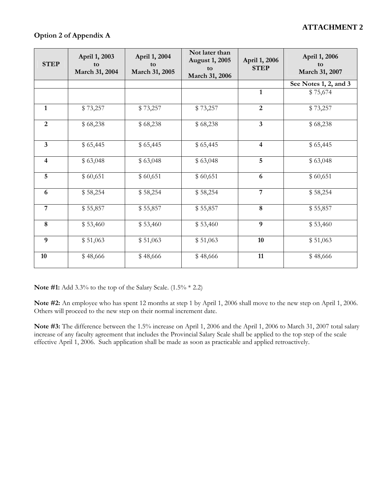| <b>STEP</b>    | April 1, 2003<br>to<br>March 31, 2004 | April 1, 2004<br>to<br>March 31, 2005 | Not later than<br><b>August 1, 2005</b><br>to<br>March 31, 2006 | April 1, 2006<br><b>STEP</b> | April 1, 2006<br>to<br>March 31, 2007 |
|----------------|---------------------------------------|---------------------------------------|-----------------------------------------------------------------|------------------------------|---------------------------------------|
|                |                                       |                                       |                                                                 |                              | See Notes 1, 2, and 3                 |
|                |                                       |                                       |                                                                 | $\mathbf{1}$                 | \$75,674                              |
| $\mathbf{1}$   | \$73,257                              | \$73,257                              | \$73,257                                                        | $\overline{2}$               | \$73,257                              |
| $\overline{2}$ | \$68,238                              | \$68,238                              | \$68,238                                                        | $\mathbf{3}$                 | \$68,238                              |
| $\overline{3}$ | \$65,445                              | \$65,445                              | \$65,445                                                        | $\overline{\mathbf{4}}$      | \$65,445                              |
| $\overline{4}$ | \$63,048                              | \$63,048                              | \$63,048                                                        | $\sqrt{5}$                   | \$63,048                              |
| 5              | \$60,651                              | \$60,651                              | \$60,651                                                        | 6                            | \$60,651                              |
| 6              | \$58,254                              | \$58,254                              | \$58,254                                                        | $\overline{7}$               | \$58,254                              |
| $\overline{7}$ | \$55,857                              | \$55,857                              | \$55,857                                                        | $\bf 8$                      | \$55,857                              |
| 8              | \$53,460                              | \$53,460                              | \$53,460                                                        | $\boldsymbol{9}$             | \$53,460                              |
| 9              | \$51,063                              | \$51,063                              | \$51,063                                                        | 10                           | \$51,063                              |
| 10             | \$48,666                              | \$48,666                              | \$48,666                                                        | 11                           | \$48,666                              |

**Note #1:** Add 3.3% to the top of the Salary Scale. (1.5% \* 2.2)

**Note #2:** An employee who has spent 12 months at step 1 by April 1, 2006 shall move to the new step on April 1, 2006. Others will proceed to the new step on their normal increment date.

**Note #3:** The difference between the 1.5% increase on April 1, 2006 and the April 1, 2006 to March 31, 2007 total salary increase of any faculty agreement that includes the Provincial Salary Scale shall be applied to the top step of the scale effective April 1, 2006. Such application shall be made as soon as practicable and applied retroactively.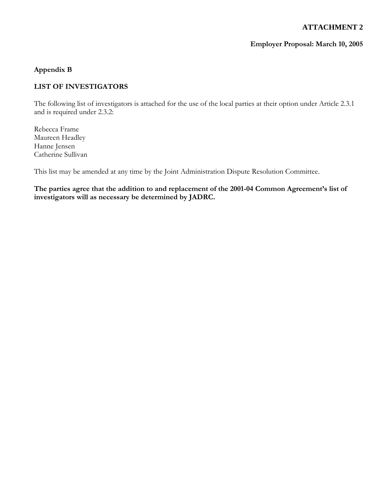### **Employer Proposal: March 10, 2005**

### **Appendix B**

## **LIST OF INVESTIGATORS**

The following list of investigators is attached for the use of the local parties at their option under Article 2.3.1 and is required under 2.3.2:

Rebecca Frame Maureen Headley Hanne Jensen Catherine Sullivan

This list may be amended at any time by the Joint Administration Dispute Resolution Committee.

**The parties agree that the addition to and replacement of the 2001-04 Common Agreement's list of investigators will as necessary be determined by JADRC.**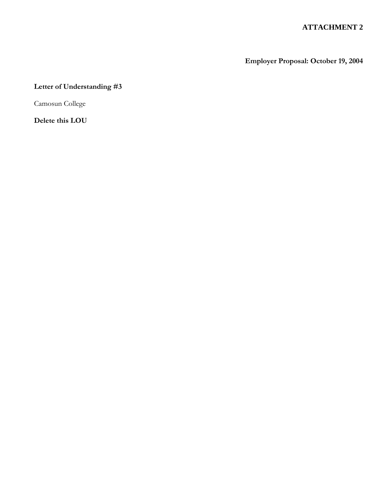**Employer Proposal: October 19, 2004** 

## **Letter of Understanding #3**

Camosun College

**Delete this LOU**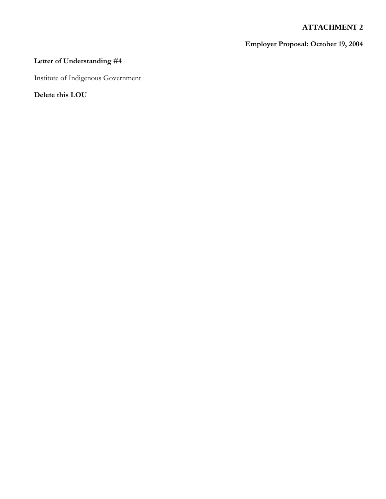## **Employer Proposal: October 19, 2004**

## **Letter of Understanding #4**

Institute of Indigenous Government

**Delete this LOU**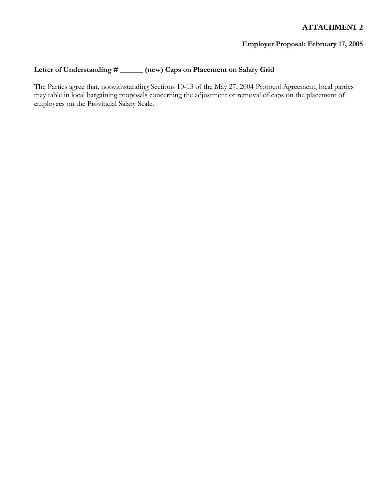## **Employer Proposal: February 17, 2005**

## **Letter of Understanding # \_\_\_\_\_\_ (new) Caps on Placement on Salary Grid**

The Parties agree that, notwithstanding Sections 10-13 of the May 27, 2004 Protocol Agreement, local parties may table in local bargaining proposals concerning the adjustment or removal of caps on the placement of employees on the Provincial Salary Scale.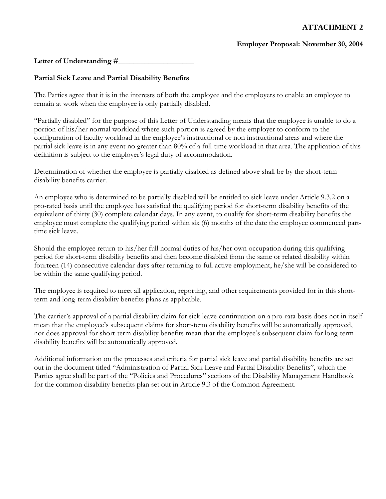### **Employer Proposal: November 30, 2004**

Letter of Understanding #

## **Partial Sick Leave and Partial Disability Benefits**

The Parties agree that it is in the interests of both the employee and the employers to enable an employee to remain at work when the employee is only partially disabled.

"Partially disabled" for the purpose of this Letter of Understanding means that the employee is unable to do a portion of his/her normal workload where such portion is agreed by the employer to conform to the configuration of faculty workload in the employee's instructional or non instructional areas and where the partial sick leave is in any event no greater than 80% of a full-time workload in that area. The application of this definition is subject to the employer's legal duty of accommodation.

Determination of whether the employee is partially disabled as defined above shall be by the short-term disability benefits carrier.

An employee who is determined to be partially disabled will be entitled to sick leave under Article 9.3.2 on a pro-rated basis until the employee has satisfied the qualifying period for short-term disability benefits of the equivalent of thirty (30) complete calendar days. In any event, to qualify for short-term disability benefits the employee must complete the qualifying period within six (6) months of the date the employee commenced parttime sick leave.

Should the employee return to his/her full normal duties of his/her own occupation during this qualifying period for short-term disability benefits and then become disabled from the same or related disability within fourteen (14) consecutive calendar days after returning to full active employment, he/she will be considered to be within the same qualifying period.

The employee is required to meet all application, reporting, and other requirements provided for in this shortterm and long-term disability benefits plans as applicable.

The carrier's approval of a partial disability claim for sick leave continuation on a pro-rata basis does not in itself mean that the employee's subsequent claims for short-term disability benefits will be automatically approved, nor does approval for short-term disability benefits mean that the employee's subsequent claim for long-term disability benefits will be automatically approved.

Additional information on the processes and criteria for partial sick leave and partial disability benefits are set out in the document titled "Administration of Partial Sick Leave and Partial Disability Benefits", which the Parties agree shall be part of the "Policies and Procedures" sections of the Disability Management Handbook for the common disability benefits plan set out in Article 9.3 of the Common Agreement.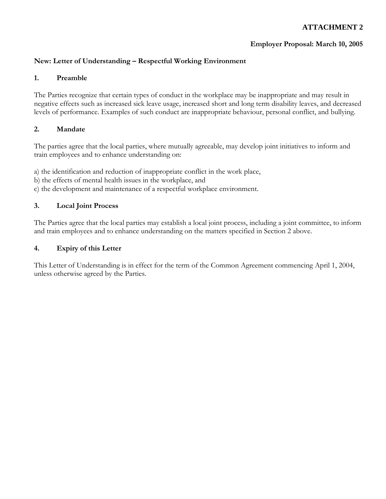## **Employer Proposal: March 10, 2005**

## **New: Letter of Understanding – Respectful Working Environment**

#### **1. Preamble**

The Parties recognize that certain types of conduct in the workplace may be inappropriate and may result in negative effects such as increased sick leave usage, increased short and long term disability leaves, and decreased levels of performance. Examples of such conduct are inappropriate behaviour, personal conflict, and bullying.

#### **2. Mandate**

The parties agree that the local parties, where mutually agreeable, may develop joint initiatives to inform and train employees and to enhance understanding on:

a) the identification and reduction of inappropriate conflict in the work place,

b) the effects of mental health issues in the workplace, and

c) the development and maintenance of a respectful workplace environment.

#### **3. Local Joint Process**

The Parties agree that the local parties may establish a local joint process, including a joint committee, to inform and train employees and to enhance understanding on the matters specified in Section 2 above.

#### **4. Expiry of this Letter**

This Letter of Understanding is in effect for the term of the Common Agreement commencing April 1, 2004, unless otherwise agreed by the Parties.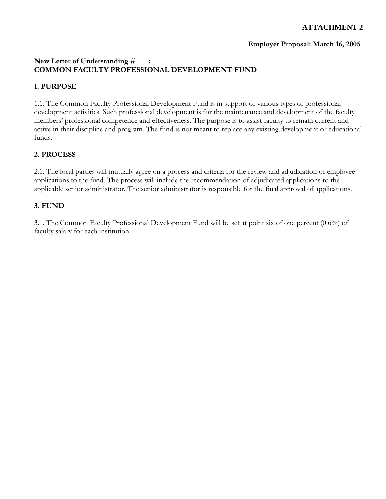## **Employer Proposal: March 16, 2005**

## **New Letter of Understanding # \_\_\_: COMMON FACULTY PROFESSIONAL DEVELOPMENT FUND**

## **1. PURPOSE**

1.1. The Common Faculty Professional Development Fund is in support of various types of professional development activities. Such professional development is for the maintenance and development of the faculty members' professional competence and effectiveness. The purpose is to assist faculty to remain current and active in their discipline and program. The fund is not meant to replace any existing development or educational funds.

## **2. PROCESS**

2.1. The local parties will mutually agree on a process and criteria for the review and adjudication of employee applications to the fund. The process will include the recommendation of adjudicated applications to the applicable senior administrator. The senior administrator is responsible for the final approval of applications.

## **3. FUND**

3.1. The Common Faculty Professional Development Fund will be set at point six of one percent (0.6%) of faculty salary for each institution.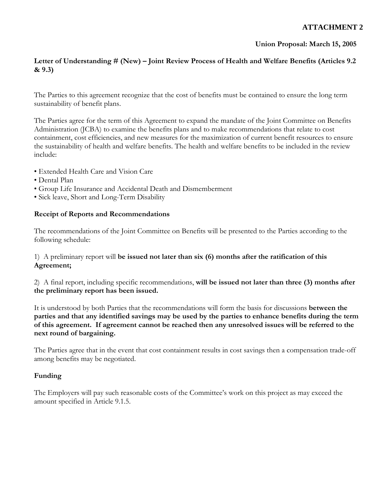## **Union Proposal: March 15, 2005**

## **Letter of Understanding # (New) – Joint Review Process of Health and Welfare Benefits (Articles 9.2 & 9.3)**

The Parties to this agreement recognize that the cost of benefits must be contained to ensure the long term sustainability of benefit plans.

The Parties agree for the term of this Agreement to expand the mandate of the Joint Committee on Benefits Administration (JCBA) to examine the benefits plans and to make recommendations that relate to cost containment, cost efficiencies, and new measures for the maximization of current benefit resources to ensure the sustainability of health and welfare benefits. The health and welfare benefits to be included in the review include:

- Extended Health Care and Vision Care
- Dental Plan
- Group Life Insurance and Accidental Death and Dismemberment
- Sick leave, Short and Long-Term Disability

#### **Receipt of Reports and Recommendations**

The recommendations of the Joint Committee on Benefits will be presented to the Parties according to the following schedule:

## 1) A preliminary report will **be issued not later than six (6) months after the ratification of this Agreement;**

2) A final report, including specific recommendations, **will be issued not later than three (3) months after the preliminary report has been issued.** 

It is understood by both Parties that the recommendations will form the basis for discussions **between the parties and that any identified savings may be used by the parties to enhance benefits during the term of this agreement. If agreement cannot be reached then any unresolved issues will be referred to the next round of bargaining.** 

The Parties agree that in the event that cost containment results in cost savings then a compensation trade-off among benefits may be negotiated.

## **Funding**

The Employers will pay such reasonable costs of the Committee's work on this project as may exceed the amount specified in Article 9.1.5.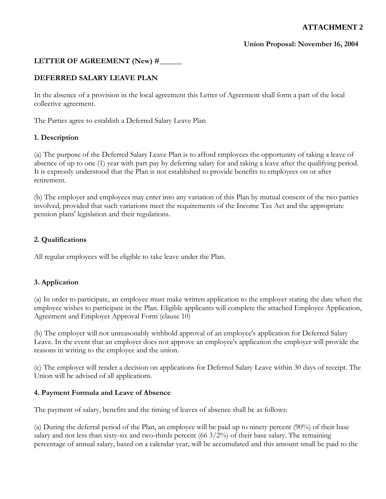## **Union Proposal: November 16, 2004**

## LETTER OF AGREEMENT (New) #\_\_\_\_\_

## **DEFERRED SALARY LEAVE PLAN**

In the absence of a provision in the local agreement this Letter of Agreement shall form a part of the local collective agreement.

The Parties agree to establish a Deferred Salary Leave Plan

#### **1. Description**

(a) The purpose of the Deferred Salary Leave Plan is to afford employees the opportunity of taking a leave of absence of up to one (1) year with part pay by deferring salary for and taking a leave after the qualifying period. It is expressly understood that the Plan is not established to provide benefits to employees on or after retirement.

(b) The employer and employees may enter into any variation of this Plan by mutual consent of the two parties involved, provided that such variations meet the requirements of the Income Tax Act and the appropriate pension plans' legislation and their regulations.

#### **2. Qualifications**

All regular employees will be eligible to take leave under the Plan.

#### **3. Application**

(a) In order to participate, an employee must make written application to the employer stating the date when the employee wishes to participate in the Plan. Eligible applicants will complete the attached Employee Application, Agreement and Employer Approval Form (clause 10)

(b) The employer will not unreasonably withhold approval of an employee's application for Deferred Salary Leave. In the event that an employer does not approve an employee's application the employer will provide the reasons in writing to the employee and the union.

(c) The employer will render a decision on applications for Deferred Salary Leave within 30 days of receipt. The Union will be advised of all applications.

#### **4. Payment Formula and Leave of Absence**

The payment of salary, benefits and the timing of leaves of absence shall be as follows:

(a) During the deferral period of the Plan, an employee will be paid up to ninety percent (90%) of their base salary and not less than sixty-six and two-thirds percent  $(66\frac{3}{2\%})$  of their base salary. The remaining percentage of annual salary, based on a calendar year, will be accumulated and this amount small be paid to the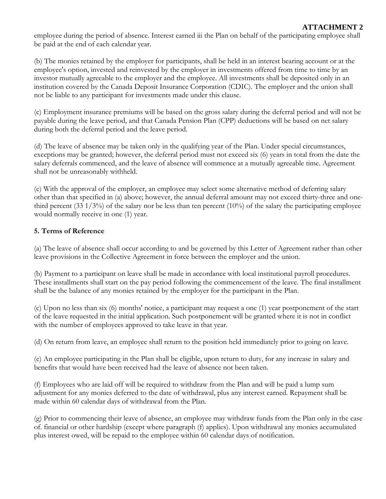employee during the period of absence. Interest earned iii the Plan on behalf of the participating employee shall be paid at the end of each calendar year.

(b) The monies retained by the employer for participants, shall be held in an interest bearing account or at the employee's option, invested and reinvested by the employer in investments offered from time to time by an investor mutually agreeable to the employer and the employee. All investments shall be deposited only in an institution covered by the Canada Deposit Insurance Corporation (CDIC). The employer and the union shall not be liable to any participant for investments made under this clause.

(c) Employment insurance premiums will be based on the gross salary during the deferral period and will not be payable during the leave period, and that Canada Pension Plan (CPP) deductions will be based on net salary during both the deferral period and the leave period.

(d) The leave of absence may be taken only in the qualifying year of the Plan. Under special circumstances, exceptions may be granted; however, the deferral period must not exceed six (6) years in total from the date the salary deferrals commenced, and the leave of absence will commence at a mutually agreeable time. Agreement shall not be unreasonably withheld.

(e) With the approval of the employer, an employee may select some alternative method of deferring salary other than that specified in (a) above; however, the annual deferral amount may not exceed thirty-three and onethird percent (33  $1/3\%$ ) of the salary nor be less than ten percent (10%) of the salary the participating employee would normally receive in one (1) year.

## **5. Terms of Reference**

(a) The leave of absence shall occur according to and be governed by this Letter of Agreement rather than other leave provisions in the Collective Agreement in force between the employer and the union.

(b) Payment to a participant on leave shall be made in accordance with local institutional payroll procedures. These installments shall start on the pay period following the commencement of the leave. The final installment shall be the balance of any monies retained by the employer for the participant in the Plan.

(c) Upon no less than six (6) months' notice, a participant may request a one (1) year postponement of the start of the leave requested in the initial application. Such postponement will be granted where it is not in conflict with the number of employees approved to take leave in that year.

(d) On return from leave, an employee shall return to the position held immediately prior to going on leave.

(e) An employee participating in the Plan shall be eligible, upon return to duty, for any increase in salary and benefits that would have been received had the leave of absence not been taken.

(f) Employees who are laid off will be required to withdraw from the Plan and will be paid a lump sum adjustment for any monies deferred to the date of withdrawal, plus any interest earned. Repayment shall be made within 60 calendar days of withdrawal from the Plan.

(g) Prior to commencing their leave of absence, an employee may withdraw funds from the Plan only in the case of. financial or other hardship (except where paragraph (f) applies). Upon withdrawal any monies accumulated plus interest owed, will be repaid to the employee within 60 calendar days of notification.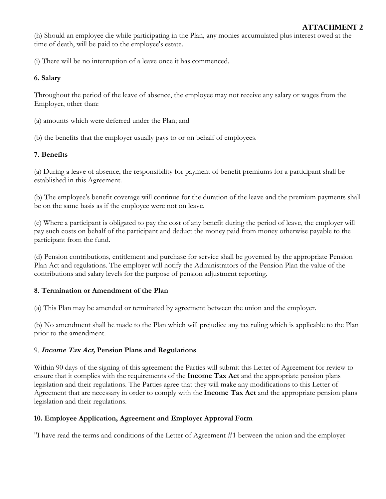(h) Should an employee die while participating in the Plan, any monies accumulated plus interest owed at the time of death, will be paid to the employee's estate.

(i) There will be no interruption of a leave once it has commenced.

## **6. Salary**

Throughout the period of the leave of absence, the employee may not receive any salary or wages from the Employer, other than:

(a) amounts which were deferred under the Plan; and

(b) the benefits that the employer usually pays to or on behalf of employees.

## **7. Benefits**

(a) During a leave of absence, the responsibility for payment of benefit premiums for a participant shall be established in this Agreement.

(b) The employee's benefit coverage will continue for the duration of the leave and the premium payments shall be on the same basis as if the employee were not on leave.

(c) Where a participant is obligated to pay the cost of any benefit during the period of leave, the employer will pay such costs on behalf of the participant and deduct the money paid from money otherwise payable to the participant from the fund.

(d) Pension contributions, entitlement and purchase for service shall be governed by the appropriate Pension Plan Act and regulations. The employer will notify the Administrators of the Pension Plan the value of the contributions and salary levels for the purpose of pension adjustment reporting.

## **8. Termination or Amendment of the Plan**

(a) This Plan may be amended or terminated by agreement between the union and the employer.

(b) No amendment shall be made to the Plan which will prejudice any tax ruling which is applicable to the Plan prior to the amendment.

## 9. **Income Tax Act, Pension Plans and Regulations**

Within 90 days of the signing of this agreement the Parties will submit this Letter of Agreement for review to ensure that it complies with the requirements of the **Income Tax Act** and the appropriate pension plans legislation and their regulations. The Parties agree that they will make any modifications to this Letter of Agreement that are necessary in order to comply with the **Income Tax Act** and the appropriate pension plans legislation and their regulations.

## **10. Employee Application, Agreement and Employer Approval Form**

"I have read the terms and conditions of the Letter of Agreement #1 between the union and the employer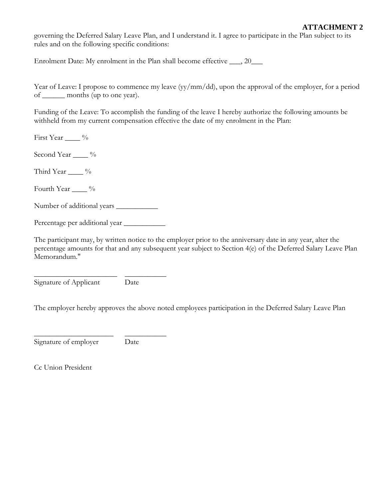governing the Deferred Salary Leave Plan, and I understand it. I agree to participate in the Plan subject to its rules and on the following specific conditions:

Enrolment Date: My enrolment in the Plan shall become effective \_\_\_, 20\_\_\_

Year of Leave: I propose to commence my leave (yy/mm/dd), upon the approval of the employer, for a period of \_\_\_\_\_\_ months (up to one year).

Funding of the Leave: To accomplish the funding of the leave I hereby authorize the following amounts be withheld from my current compensation effective the date of my enrolment in the Plan:

First Year \_\_\_\_ %

Second Year \_\_\_\_ %

Third Year  $\_\_\_\_$ %

Fourth Year \_\_\_\_ %

Number of additional years \_\_\_\_\_\_\_\_\_\_\_

Percentage per additional year \_\_\_\_\_\_\_\_\_\_\_

The participant may, by written notice to the employer prior to the anniversary date in any year, alter the percentage amounts for that and any subsequent year subject to Section 4(e) of the Deferred Salary Leave Plan Memorandum."

\_\_\_\_\_\_\_\_\_\_\_\_\_\_\_\_\_\_\_\_\_\_ \_\_\_\_\_\_\_\_\_\_\_ Signature of Applicant Date

\_\_\_\_\_\_\_\_\_\_\_\_\_\_\_\_\_\_\_\_\_ \_\_\_\_\_\_\_\_\_\_\_

The employer hereby approves the above noted employees participation in the Deferred Salary Leave Plan

Signature of employer Date

Cc Union President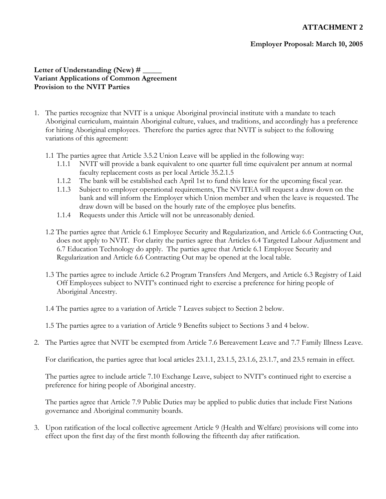#### **Employer Proposal: March 10, 2005**

#### Letter of Understanding (New) # **Variant Applications of Common Agreement Provision to the NVIT Parties**

- 1. The parties recognize that NVIT is a unique Aboriginal provincial institute with a mandate to teach Aboriginal curriculum, maintain Aboriginal culture, values, and traditions, and accordingly has a preference for hiring Aboriginal employees. Therefore the parties agree that NVIT is subject to the following variations of this agreement:
	- 1.1 The parties agree that Article 3.5.2 Union Leave will be applied in the following way:
		- 1.1.1 NVIT will provide a bank equivalent to one quarter full time equivalent per annum at normal faculty replacement costs as per local Article 35.2.1.5
		- 1.1.2 The bank will be established each April 1st to fund this leave for the upcoming fiscal year.
		- 1.1.3 Subject to employer operational requirements, The NVITEA will request a draw down on the bank and will inform the Employer which Union member and when the leave is requested. The draw down will be based on the hourly rate of the employee plus benefits.
		- 1.1.4 Requests under this Article will not be unreasonably denied.
	- 1.2 The parties agree that Article 6.1 Employee Security and Regularization, and Article 6.6 Contracting Out, does not apply to NVIT. For clarity the parties agree that Articles 6.4 Targeted Labour Adjustment and 6.7 Education Technology do apply. The parties agree that Article 6.1 Employee Security and Regularization and Article 6.6 Contracting Out may be opened at the local table.
	- 1.3 The parties agree to include Article 6.2 Program Transfers And Mergers, and Article 6.3 Registry of Laid Off Employees subject to NVIT's continued right to exercise a preference for hiring people of Aboriginal Ancestry.
	- 1.4 The parties agree to a variation of Article 7 Leaves subject to Section 2 below.

1.5 The parties agree to a variation of Article 9 Benefits subject to Sections 3 and 4 below.

2. The Parties agree that NVIT be exempted from Article 7.6 Bereavement Leave and 7.7 Family Illness Leave.

For clarification, the parties agree that local articles 23.1.1, 23.1.5, 23.1.6, 23.1.7, and 23.5 remain in effect.

The parties agree to include article 7.10 Exchange Leave, subject to NVIT's continued right to exercise a preference for hiring people of Aboriginal ancestry.

The parties agree that Article 7.9 Public Duties may be applied to public duties that include First Nations governance and Aboriginal community boards.

3. Upon ratification of the local collective agreement Article 9 (Health and Welfare) provisions will come into effect upon the first day of the first month following the fifteenth day after ratification.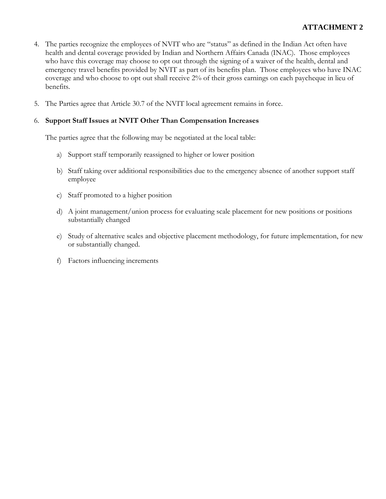- 4. The parties recognize the employees of NVIT who are "status" as defined in the Indian Act often have health and dental coverage provided by Indian and Northern Affairs Canada (INAC). Those employees who have this coverage may choose to opt out through the signing of a waiver of the health, dental and emergency travel benefits provided by NVIT as part of its benefits plan. Those employees who have INAC coverage and who choose to opt out shall receive 2% of their gross earnings on each paycheque in lieu of benefits.
- 5. The Parties agree that Article 30.7 of the NVIT local agreement remains in force.

#### 6. **Support Staff Issues at NVIT Other Than Compensation Increases**

The parties agree that the following may be negotiated at the local table:

- a) Support staff temporarily reassigned to higher or lower position
- b) Staff taking over additional responsibilities due to the emergency absence of another support staff employee
- c) Staff promoted to a higher position
- d) A joint management/union process for evaluating scale placement for new positions or positions substantially changed
- e) Study of alternative scales and objective placement methodology, for future implementation, for new or substantially changed.
- f) Factors influencing increments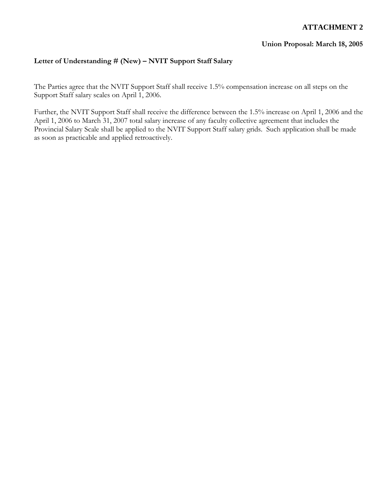#### **Union Proposal: March 18, 2005**

## **Letter of Understanding # (New) – NVIT Support Staff Salary**

The Parties agree that the NVIT Support Staff shall receive 1.5% compensation increase on all steps on the Support Staff salary scales on April 1, 2006.

Further, the NVIT Support Staff shall receive the difference between the 1.5% increase on April 1, 2006 and the April 1, 2006 to March 31, 2007 total salary increase of any faculty collective agreement that includes the Provincial Salary Scale shall be applied to the NVIT Support Staff salary grids. Such application shall be made as soon as practicable and applied retroactively.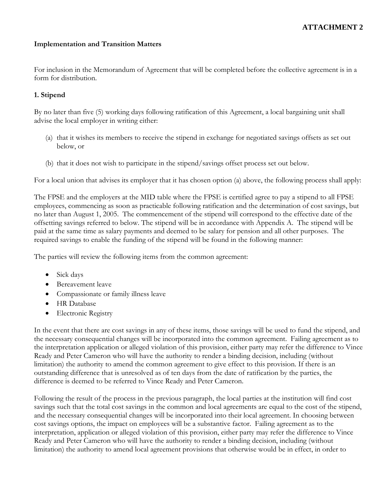#### **Implementation and Transition Matters**

For inclusion in the Memorandum of Agreement that will be completed before the collective agreement is in a form for distribution.

## **1. Stipend**

By no later than five (5) working days following ratification of this Agreement, a local bargaining unit shall advise the local employer in writing either:

- (a) that it wishes its members to receive the stipend in exchange for negotiated savings offsets as set out below, or
- (b) that it does not wish to participate in the stipend/savings offset process set out below.

For a local union that advises its employer that it has chosen option (a) above, the following process shall apply:

The FPSE and the employers at the MID table where the FPSE is certified agree to pay a stipend to all FPSE employees, commencing as soon as practicable following ratification and the determination of cost savings, but no later than August 1, 2005. The commencement of the stipend will correspond to the effective date of the offsetting savings referred to below. The stipend will be in accordance with Appendix A. The stipend will be paid at the same time as salary payments and deemed to be salary for pension and all other purposes. The required savings to enable the funding of the stipend will be found in the following manner:

The parties will review the following items from the common agreement:

- Sick days
- Bereavement leave
- Compassionate or family illness leave
- HR Database
- Electronic Registry

In the event that there are cost savings in any of these items, those savings will be used to fund the stipend, and the necessary consequential changes will be incorporated into the common agreement. Failing agreement as to the interpretation application or alleged violation of this provision, either party may refer the difference to Vince Ready and Peter Cameron who will have the authority to render a binding decision, including (without limitation) the authority to amend the common agreement to give effect to this provision. If there is an outstanding difference that is unresolved as of ten days from the date of ratification by the parties, the difference is deemed to be referred to Vince Ready and Peter Cameron.

Following the result of the process in the previous paragraph, the local parties at the institution will find cost savings such that the total cost savings in the common and local agreements are equal to the cost of the stipend, and the necessary consequential changes will be incorporated into their local agreement. In choosing between cost savings options, the impact on employees will be a substantive factor. Failing agreement as to the interpretation, application or alleged violation of this provision, either party may refer the difference to Vince Ready and Peter Cameron who will have the authority to render a binding decision, including (without limitation) the authority to amend local agreement provisions that otherwise would be in effect, in order to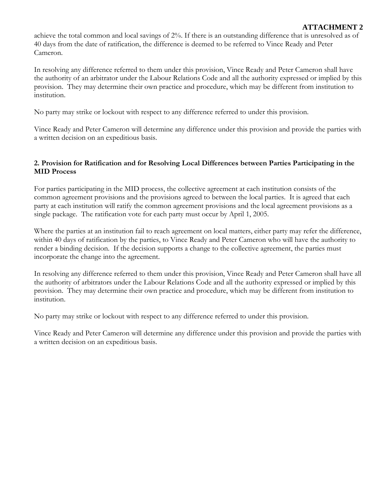achieve the total common and local savings of 2%. If there is an outstanding difference that is unresolved as of 40 days from the date of ratification, the difference is deemed to be referred to Vince Ready and Peter Cameron.

In resolving any difference referred to them under this provision, Vince Ready and Peter Cameron shall have the authority of an arbitrator under the Labour Relations Code and all the authority expressed or implied by this provision. They may determine their own practice and procedure, which may be different from institution to institution.

No party may strike or lockout with respect to any difference referred to under this provision.

Vince Ready and Peter Cameron will determine any difference under this provision and provide the parties with a written decision on an expeditious basis.

### **2. Provision for Ratification and for Resolving Local Differences between Parties Participating in the MID Process**

For parties participating in the MID process, the collective agreement at each institution consists of the common agreement provisions and the provisions agreed to between the local parties. It is agreed that each party at each institution will ratify the common agreement provisions and the local agreement provisions as a single package. The ratification vote for each party must occur by April 1, 2005.

Where the parties at an institution fail to reach agreement on local matters, either party may refer the difference, within 40 days of ratification by the parties, to Vince Ready and Peter Cameron who will have the authority to render a binding decision. If the decision supports a change to the collective agreement, the parties must incorporate the change into the agreement.

In resolving any difference referred to them under this provision, Vince Ready and Peter Cameron shall have all the authority of arbitrators under the Labour Relations Code and all the authority expressed or implied by this provision. They may determine their own practice and procedure, which may be different from institution to institution.

No party may strike or lockout with respect to any difference referred to under this provision.

Vince Ready and Peter Cameron will determine any difference under this provision and provide the parties with a written decision on an expeditious basis.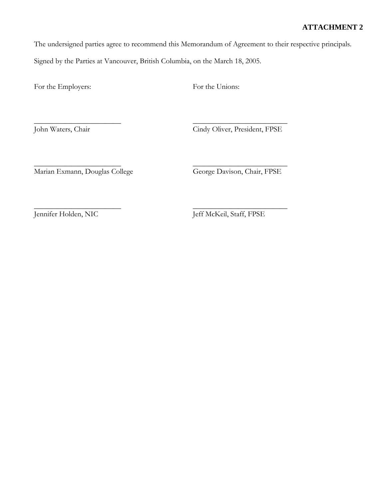The undersigned parties agree to recommend this Memorandum of Agreement to their respective principals.

Signed by the Parties at Vancouver, British Columbia, on the March 18, 2005.

 $\overline{\phantom{a}}$  , and the contract of the contract of the contract of the contract of the contract of the contract of the contract of the contract of the contract of the contract of the contract of the contract of the contrac

For the Employers: For the Unions:

John Waters, Chair Cindy Oliver, President, FPSE

 $\overline{\phantom{a}}$  , and the contract of the contract of the contract of the contract of the contract of the contract of the contract of the contract of the contract of the contract of the contract of the contract of the contrac Marian Exmann, Douglas College George Davison, Chair, FPSE

 $\overline{\phantom{a}}$  , and the contract of the contract of the contract of the contract of the contract of the contract of the contract of the contract of the contract of the contract of the contract of the contract of the contrac Jennifer Holden, NIC Jeff McKeil, Staff, FPSE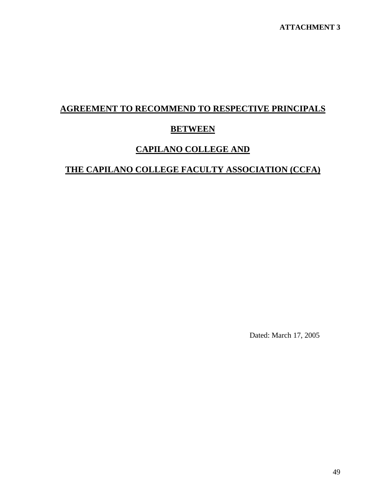# **AGREEMENT TO RECOMMEND TO RESPECTIVE PRINCIPALS**

## **BETWEEN**

## **CAPILANO COLLEGE AND**

## **THE CAPILANO COLLEGE FACULTY ASSOCIATION (CCFA)**

Dated: March 17, 2005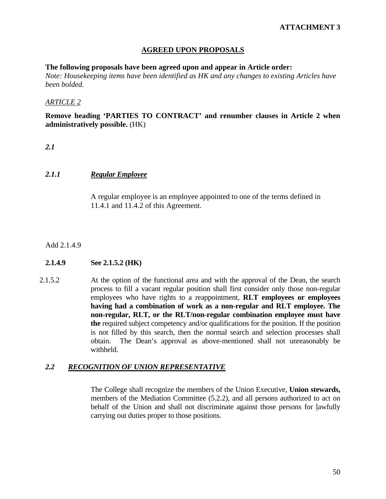## **AGREED UPON PROPOSALS**

#### **The following proposals have been agreed upon and appear in Article order:**

*Note: Housekeeping items have been identified as HK and any changes to existing Articles have been bolded.* 

#### *ARTICLE 2*

**Remove heading 'PARTIES TO CONTRACT' and renumber clauses in Article 2 when administratively possible.** (HK)

## *2.1*

## *2.1.1 Regular Employee*

A regular employee is an employee appointed to one of the terms defined in 11.4.1 and 11.4.2 of this Agreement.

#### Add 2.1.4.9

#### **2.1.4.9 See 2.1.5.2 (HK)**

2.1.5.2 At the option of the functional area and with the approval of the Dean, the search process to fill a vacant regular position shall first consider only those non-regular employees who have rights to a reappointment, **RLT employees or employees having had a combination of work as a non-regular and RLT employee. The non-regular, RLT, or the RLT/non-regular combination employee must have the** required subject competency and/or qualifications for the position. If the position is not filled by this search, then the normal search and selection processes shall obtain. The Dean's approval as above-mentioned shall not unreasonably be withheld.

#### *2.2 RECOGNITION OF UNION REPRESENTATIVE*

 The College shall recognize the members of the Union Executive, **Union stewards,** members of the Mediation Committee (5.2.2), and all persons authorized to act on behalf of the Union and shall not discriminate against those persons for lawfully carrying out duties proper to those positions.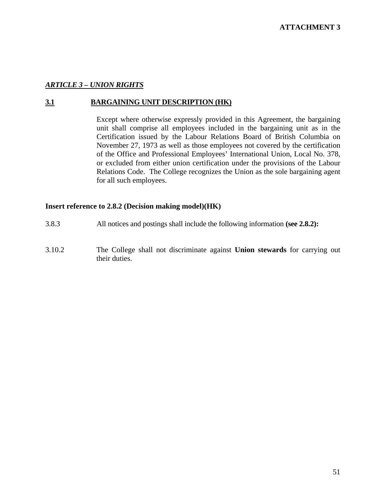## *ARTICLE 3 – UNION RIGHTS*

## **3.1 BARGAINING UNIT DESCRIPTION (HK)**

 Except where otherwise expressly provided in this Agreement, the bargaining unit shall comprise all employees included in the bargaining unit as in the Certification issued by the Labour Relations Board of British Columbia on November 27, 1973 as well as those employees not covered by the certification of the Office and Professional Employees' International Union, Local No. 378, or excluded from either union certification under the provisions of the Labour Relations Code. The College recognizes the Union as the sole bargaining agent for all such employees.

#### **Insert reference to 2.8.2 (Decision making model)(HK)**

- 3.8.3 All notices and postings shall include the following information **(see 2.8.2):**
- 3.10.2 The College shall not discriminate against **Union stewards** for carrying out their duties.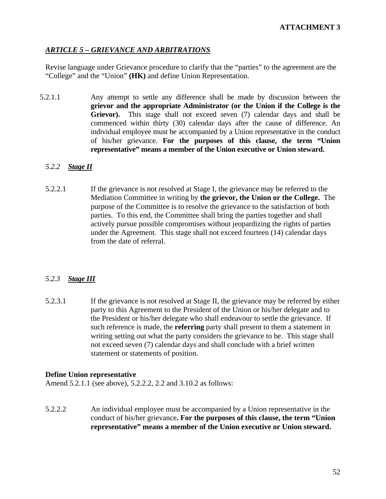## *ARTICLE 5 – GRIEVANCE AND ARBITRATIONS*

Revise language under Grievance procedure to clarify that the "parties" to the agreement are the "College" and the "Union" **(HK)** and define Union Representation.

5.2.1.1 Any attempt to settle any difference shall be made by discussion between the **grievor and the appropriate Administrator (or the Union if the College is the**  Grievor). This stage shall not exceed seven (7) calendar days and shall be commenced within thirty (30) calendar days after the cause of difference. An individual employee must be accompanied by a Union representative in the conduct of his/her grievance. **For the purposes of this clause, the term "Union representative" means a member of the Union executive or Union steward.** 

## *5.2.2 Stage II*

5.2.2.1 If the grievance is not resolved at Stage I, the grievance may be referred to the Mediation Committee in writing by **the grievor, the Union or the College.** The purpose of the Committee is to resolve the grievance to the satisfaction of both parties. To this end, the Committee shall bring the parties together and shall actively pursue possible compromises without jeopardizing the rights of parties under the Agreement. This stage shall not exceed fourteen (14) calendar days from the date of referral.

## *5.2.3 Stage III*

5.2.3.1 If the grievance is not resolved at Stage II, the grievance may be referred by either party to this Agreement to the President of the Union or his/her delegate and to the President or his/her delegate who shall endeavour to settle the grievance. If such reference is made, the **referring** party shall present to them a statement in writing setting out what the party considers the grievance to be. This stage shall not exceed seven (7) calendar days and shall conclude with a brief written statement or statements of position.

#### **Define Union representative**

Amend 5.2.1.1 (see above), 5.2.2.2, 2.2 and 3.10.2 as follows:

5.2.2.2 An individual employee must be accompanied by a Union representative in the conduct of his/her grievance**. For the purposes of this clause, the term "Union representative" means a member of the Union executive or Union steward.**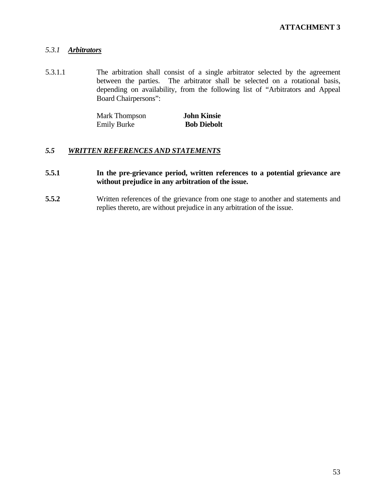## *5.3.1 Arbitrators*

5.3.1.1 The arbitration shall consist of a single arbitrator selected by the agreement between the parties. The arbitrator shall be selected on a rotational basis, depending on availability, from the following list of "Arbitrators and Appeal Board Chairpersons":

| Mark Thompson      | <b>John Kinsie</b> |
|--------------------|--------------------|
| <b>Emily Burke</b> | <b>Bob Diebolt</b> |

## *5.5 WRITTEN REFERENCES AND STATEMENTS*

## **5.5.1 In the pre-grievance period, written references to a potential grievance are without prejudice in any arbitration of the issue.**

**5.5.2** Written references of the grievance from one stage to another and statements and replies thereto, are without prejudice in any arbitration of the issue.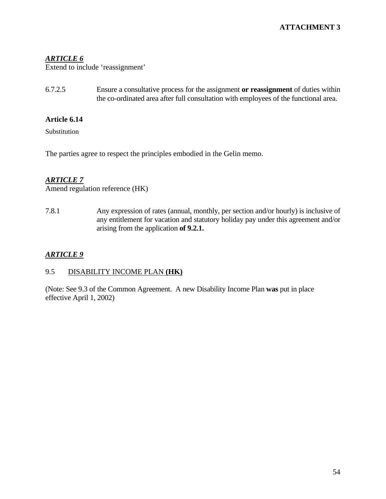## *ARTICLE 6*

Extend to include 'reassignment'

6.7.2.5 Ensure a consultative process for the assignment **or reassignment** of duties within the co-ordinated area after full consultation with employees of the functional area.

## **Article 6.14**

Substitution

The parties agree to respect the principles embodied in the Gelin memo.

## *ARTICLE 7*

Amend regulation reference (HK)

7.8.1 Any expression of rates (annual, monthly, per section and/or hourly) is inclusive of any entitlement for vacation and statutory holiday pay under this agreement and/or arising from the application **of 9.2.1.**

## *ARTICLE 9*

## 9.5 DISABILITY INCOME PLAN **(HK)**

(Note: See 9.3 of the Common Agreement. A new Disability Income Plan **was** put in place effective April 1, 2002)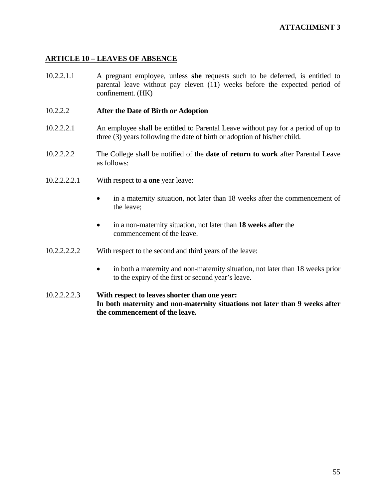## **ARTICLE 10 – LEAVES OF ABSENCE**

10.2.2.1.1 A pregnant employee, unless **she** requests such to be deferred, is entitled to parental leave without pay eleven (11) weeks before the expected period of confinement. (HK)

## 10.2.2.2 **After the Date of Birth or Adoption**

- 10.2.2.2.1 An employee shall be entitled to Parental Leave without pay for a period of up to three (3) years following the date of birth or adoption of his/her child.
- 10.2.2.2.2 The College shall be notified of the **date of return to work** after Parental Leave as follows:
- 10.2.2.2.2.1 With respect to **a one** year leave:
	- in a maternity situation, not later than 18 weeks after the commencement of the leave;
	- in a non-maternity situation, not later than **18 weeks after** the commencement of the leave.
- 10.2.2.2.2.2 With respect to the second and third years of the leave:
	- in both a maternity and non-maternity situation, not later than 18 weeks prior to the expiry of the first or second year's leave.
- 10.2.2.2.2.3 **With respect to leaves shorter than one year: In both maternity and non-maternity situations not later than 9 weeks after the commencement of the leave.**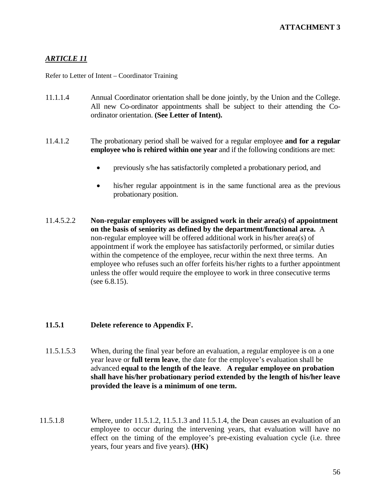## *ARTICLE 11*

Refer to Letter of Intent – Coordinator Training

- 11.1.1.4 Annual Coordinator orientation shall be done jointly, by the Union and the College. All new Co-ordinator appointments shall be subject to their attending the Coordinator orientation. **(See Letter of Intent).**
- 11.4.1.2 The probationary period shall be waived for a regular employee **and for a regular employee who is rehired within one year** and if the following conditions are met:
	- previously s/he has satisfactorily completed a probationary period, and
	- his/her regular appointment is in the same functional area as the previous probationary position.
- 11.4.5.2.2 **Non-regular employees will be assigned work in their area(s) of appointment on the basis of seniority as defined by the department/functional area.** A non-regular employee will be offered additional work in his/her area(s) of appointment if work the employee has satisfactorily performed, or similar duties within the competence of the employee, recur within the next three terms. An employee who refuses such an offer forfeits his/her rights to a further appointment unless the offer would require the employee to work in three consecutive terms (see 6.8.15).

## **11.5.1 Delete reference to Appendix F.**

- 11.5.1.5.3 When, during the final year before an evaluation, a regular employee is on a one year leave or **full term leave**, the date for the employee's evaluation shall be advanced **equal to the length of the leave**. **A regular employee on probation shall have his/her probationary period extended by the length of his/her leave provided the leave is a minimum of one term.**
- 11.5.1.8 Where, under 11.5.1.2, 11.5.1.3 and 11.5.1.4, the Dean causes an evaluation of an employee to occur during the intervening years, that evaluation will have no effect on the timing of the employee's pre-existing evaluation cycle (i.e. three years, four years and five years). **(HK)**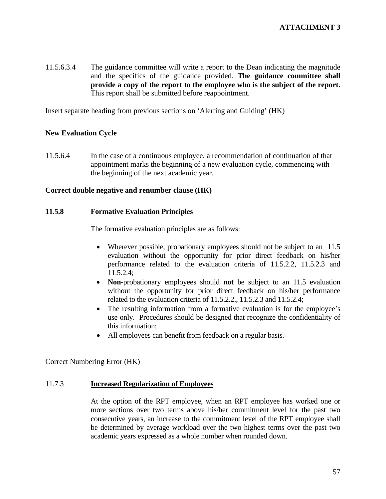11.5.6.3.4 The guidance committee will write a report to the Dean indicating the magnitude and the specifics of the guidance provided. **The guidance committee shall provide a copy of the report to the employee who is the subject of the report.** This report shall be submitted before reappointment.

Insert separate heading from previous sections on 'Alerting and Guiding' (HK)

#### **New Evaluation Cycle**

11.5.6.4 In the case of a continuous employee, a recommendation of continuation of that appointment marks the beginning of a new evaluation cycle, commencing with the beginning of the next academic year.

#### **Correct double negative and renumber clause (HK)**

#### **11.5.8 Formative Evaluation Principles**

The formative evaluation principles are as follows:

- Wherever possible, probationary employees should not be subject to an 11.5 evaluation without the opportunity for prior direct feedback on his/her performance related to the evaluation criteria of 11.5.2.2, 11.5.2.3 and 11.5.2.4;
- **Non**-probationary employees should **not** be subject to an 11.5 evaluation without the opportunity for prior direct feedback on his/her performance related to the evaluation criteria of 11.5.2.2., 11.5.2.3 and 11.5.2.4;
- The resulting information from a formative evaluation is for the employee's use only. Procedures should be designed that recognize the confidentiality of this information;
- All employees can benefit from feedback on a regular basis.

Correct Numbering Error (HK)

#### 11.7.3 **Increased Regularization of Employees**

 At the option of the RPT employee, when an RPT employee has worked one or more sections over two terms above his/her commitment level for the past two consecutive years, an increase to the commitment level of the RPT employee shall be determined by average workload over the two highest terms over the past two academic years expressed as a whole number when rounded down.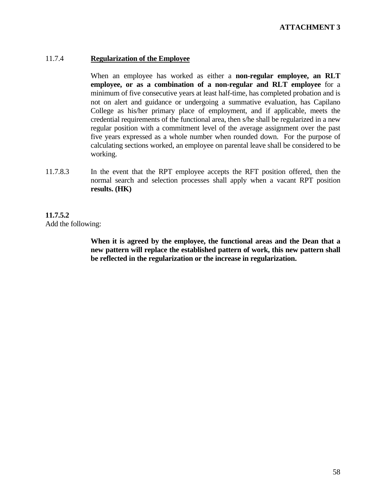#### 11.7.4 **Regularization of the Employee**

 When an employee has worked as either a **non-regular employee, an RLT employee, or as a combination of a non-regular and RLT employee** for a minimum of five consecutive years at least half-time, has completed probation and is not on alert and guidance or undergoing a summative evaluation, has Capilano College as his/her primary place of employment, and if applicable, meets the credential requirements of the functional area, then s/he shall be regularized in a new regular position with a commitment level of the average assignment over the past five years expressed as a whole number when rounded down. For the purpose of calculating sections worked, an employee on parental leave shall be considered to be working.

11.7.8.3 In the event that the RPT employee accepts the RFT position offered, then the normal search and selection processes shall apply when a vacant RPT position **results. (HK)** 

### **11.7.5.2**  Add the following:

**When it is agreed by the employee, the functional areas and the Dean that a new pattern will replace the established pattern of work, this new pattern shall be reflected in the regularization or the increase in regularization.**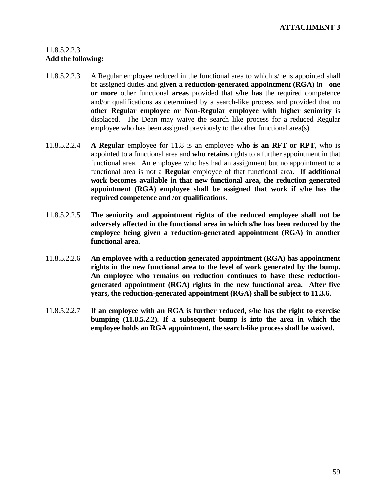## 11.8.5.2.2.3 **Add the following:**

- 11.8.5.2.2.3 A Regular employee reduced in the functional area to which s/he is appointed shall be assigned duties and **given a reduction-generated appointment (RGA)** in **one or more** other functional **areas** provided that **s/he has** the required competence and/or qualifications as determined by a search-like process and provided that no **other Regular employee or Non-Regular employee with higher seniority** is displaced. The Dean may waive the search like process for a reduced Regular employee who has been assigned previously to the other functional area(s).
- 11.8.5.2.2.4 **A Regular** employee for 11.8 is an employee **who is an RFT or RPT**, who is appointed to a functional area and **who retains** rights to a further appointment in that functional area. An employee who has had an assignment but no appointment to a functional area is not a **Regular** employee of that functional area. **If additional work becomes available in that new functional area, the reduction generated appointment (RGA) employee shall be assigned that work if s/he has the required competence and /or qualifications.**
- 11.8.5.2.2.5 **The seniority and appointment rights of the reduced employee shall not be adversely affected in the functional area in which s/he has been reduced by the employee being given a reduction-generated appointment (RGA) in another functional area.**
- 11.8.5.2.2.6 **An employee with a reduction generated appointment (RGA) has appointment rights in the new functional area to the level of work generated by the bump. An employee who remains on reduction continues to have these reductiongenerated appointment (RGA) rights in the new functional area. After five years, the reduction-generated appointment (RGA) shall be subject to 11.3.6.**
- 11.8.5.2.2.7 **If an employee with an RGA is further reduced, s/he has the right to exercise bumping (11.8.5.2.2). If a subsequent bump is into the area in which the employee holds an RGA appointment, the search-like process shall be waived.**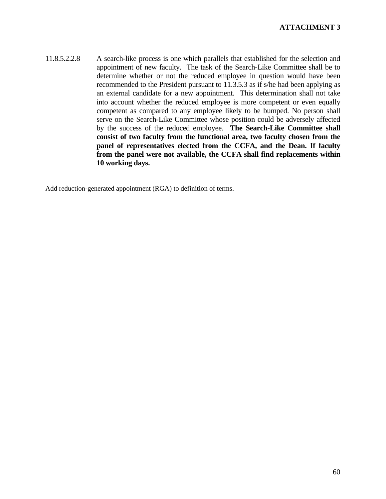11.8.5.2.2.8 A search-like process is one which parallels that established for the selection and appointment of new faculty. The task of the Search-Like Committee shall be to determine whether or not the reduced employee in question would have been recommended to the President pursuant to 11.3.5.3 as if s/he had been applying as an external candidate for a new appointment. This determination shall not take into account whether the reduced employee is more competent or even equally competent as compared to any employee likely to be bumped. No person shall serve on the Search-Like Committee whose position could be adversely affected by the success of the reduced employee. **The Search-Like Committee shall consist of two faculty from the functional area, two faculty chosen from the panel of representatives elected from the CCFA, and the Dean. If faculty from the panel were not available, the CCFA shall find replacements within 10 working days.** 

Add reduction-generated appointment (RGA) to definition of terms.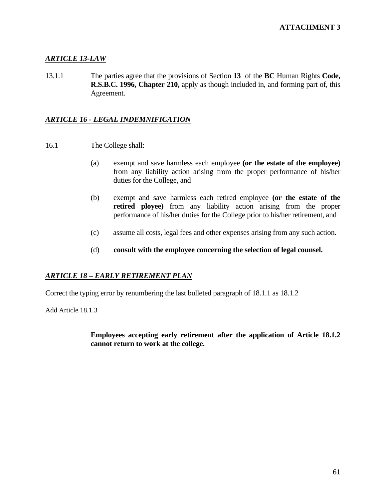## *ARTICLE 13-LAW*

13.1.1 The parties agree that the provisions of Section **13** of the **BC** Human Rights **Code, R.S.B.C. 1996, Chapter 210,** apply as though included in, and forming part of, this Agreement.

## *ARTICLE 16 - LEGAL INDEMNIFICATION*

- 16.1 The College shall:
	- (a) exempt and save harmless each employee **(or the estate of the employee)** from any liability action arising from the proper performance of his/her duties for the College, and
	- (b) exempt and save harmless each retired employee **(or the estate of the retired ployee)** from any liability action arising from the proper performance of his/her duties for the College prior to his/her retirement, and
	- (c) assume all costs, legal fees and other expenses arising from any such action.
	- (d) **consult with the employee concerning the selection of legal counsel.**

#### *ARTICLE 18 – EARLY RETIREMENT PLAN*

Correct the typing error by renumbering the last bulleted paragraph of 18.1.1 as 18.1.2

Add Article 18.1.3

 **Employees accepting early retirement after the application of Article 18.1.2 cannot return to work at the college.**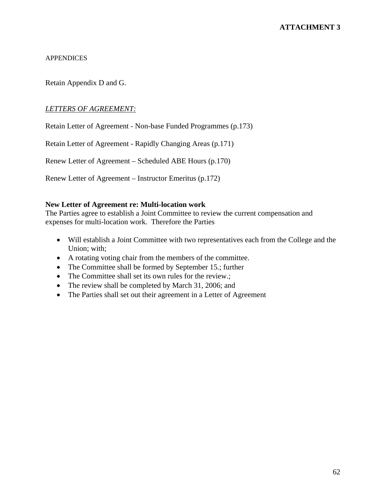#### APPENDICES

Retain Appendix D and G.

### *LETTERS OF AGREEMENT:*

Retain Letter of Agreement - Non-base Funded Programmes (p.173)

Retain Letter of Agreement - Rapidly Changing Areas (p.171)

Renew Letter of Agreement – Scheduled ABE Hours (p.170)

Renew Letter of Agreement – Instructor Emeritus (p.172)

#### **New Letter of Agreement re: Multi-location work**

The Parties agree to establish a Joint Committee to review the current compensation and expenses for multi-location work. Therefore the Parties

- Will establish a Joint Committee with two representatives each from the College and the Union; with;
- A rotating voting chair from the members of the committee.
- The Committee shall be formed by September 15.; further
- The Committee shall set its own rules for the review.;
- The review shall be completed by March 31, 2006; and
- The Parties shall set out their agreement in a Letter of Agreement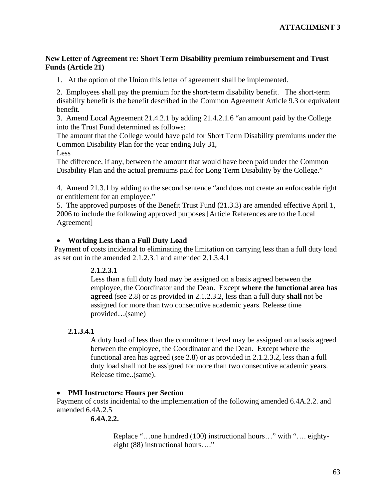## **New Letter of Agreement re: Short Term Disability premium reimbursement and Trust Funds (Article 21)**

1. At the option of the Union this letter of agreement shall be implemented.

2. Employees shall pay the premium for the short-term disability benefit. The short-term disability benefit is the benefit described in the Common Agreement Article 9.3 or equivalent benefit.

3. Amend Local Agreement 21.4.2.1 by adding 21.4.2.1.6 "an amount paid by the College into the Trust Fund determined as follows:

The amount that the College would have paid for Short Term Disability premiums under the Common Disability Plan for the year ending July 31,

Less

The difference, if any, between the amount that would have been paid under the Common Disability Plan and the actual premiums paid for Long Term Disability by the College."

4. Amend 21.3.1 by adding to the second sentence "and does not create an enforceable right or entitlement for an employee."

5. The approved purposes of the Benefit Trust Fund (21.3.3) are amended effective April 1, 2006 to include the following approved purposes [Article References are to the Local Agreement]

## • **Working Less than a Full Duty Load**

Payment of costs incidental to eliminating the limitation on carrying less than a full duty load as set out in the amended 2.1.2.3.1 and amended 2.1.3.4.1

## **2.1.2.3.1**

Less than a full duty load may be assigned on a basis agreed between the employee, the Coordinator and the Dean. Except **where the functional area has agreed** (see 2.8) or as provided in 2.1.2.3.2, less than a full duty **shall** not be assigned for more than two consecutive academic years. Release time provided…(same)

## **2.1.3.4.1**

A duty load of less than the commitment level may be assigned on a basis agreed between the employee, the Coordinator and the Dean. Except where the functional area has agreed (see 2.8) or as provided in 2.1.2.3.2, less than a full duty load shall not be assigned for more than two consecutive academic years. Release time..(same).

#### • **PMI Instructors: Hours per Section**

Payment of costs incidental to the implementation of the following amended 6.4A.2.2. and amended 6.4A.2.5

## **6.4A.2.2.**

Replace "…one hundred (100) instructional hours…" with "…. eightyeight (88) instructional hours…."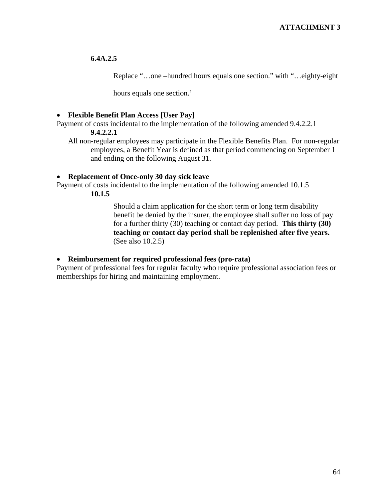## **6.4A.2.5**

Replace "…one –hundred hours equals one section." with "…eighty-eight

hours equals one section.'

#### • **Flexible Benefit Plan Access [User Pay]**

Payment of costs incidental to the implementation of the following amended 9.4.2.2.1 **9.4.2.2.1** 

All non-regular employees may participate in the Flexible Benefits Plan. For non-regular employees, a Benefit Year is defined as that period commencing on September 1 and ending on the following August 31.

#### • **Replacement of Once-only 30 day sick leave**

Payment of costs incidental to the implementation of the following amended 10.1.5

**10.1.5**

Should a claim application for the short term or long term disability benefit be denied by the insurer, the employee shall suffer no loss of pay for a further thirty (30) teaching or contact day period. **This thirty (30) teaching or contact day period shall be replenished after five years.**  (See also 10.2.5)

#### • **Reimbursement for required professional fees (pro-rata)**

Payment of professional fees for regular faculty who require professional association fees or memberships for hiring and maintaining employment.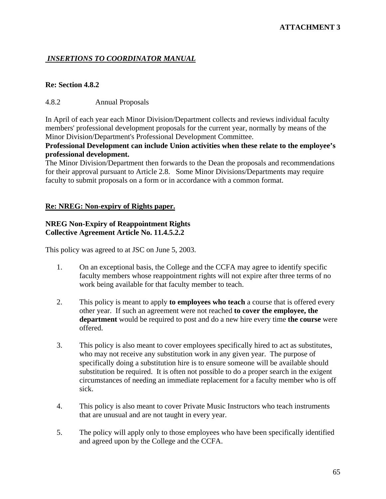## *INSERTIONS TO COORDINATOR MANUAL*

#### **Re: Section 4.8.2**

#### 4.8.2 Annual Proposals

In April of each year each Minor Division/Department collects and reviews individual faculty members' professional development proposals for the current year, normally by means of the Minor Division/Department's Professional Development Committee.

### **Professional Development can include Union activities when these relate to the employee's professional development.**

The Minor Division/Department then forwards to the Dean the proposals and recommendations for their approval pursuant to Article 2.8. Some Minor Divisions/Departments may require faculty to submit proposals on a form or in accordance with a common format.

#### **Re: NREG: Non-expiry of Rights paper.**

### **NREG Non-Expiry of Reappointment Rights Collective Agreement Article No. 11.4.5.2.2**

This policy was agreed to at JSC on June 5, 2003.

- 1. On an exceptional basis, the College and the CCFA may agree to identify specific faculty members whose reappointment rights will not expire after three terms of no work being available for that faculty member to teach.
- 2. This policy is meant to apply **to employees who teach** a course that is offered every other year. If such an agreement were not reached **to cover the employee, the department** would be required to post and do a new hire every time **the course** were offered.
- 3. This policy is also meant to cover employees specifically hired to act as substitutes, who may not receive any substitution work in any given year. The purpose of specifically doing a substitution hire is to ensure someone will be available should substitution be required. It is often not possible to do a proper search in the exigent circumstances of needing an immediate replacement for a faculty member who is off sick.
- 4. This policy is also meant to cover Private Music Instructors who teach instruments that are unusual and are not taught in every year.
- 5. The policy will apply only to those employees who have been specifically identified and agreed upon by the College and the CCFA.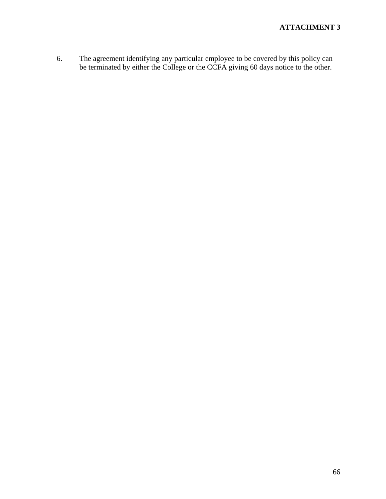6. The agreement identifying any particular employee to be covered by this policy can be terminated by either the College or the CCFA giving 60 days notice to the other.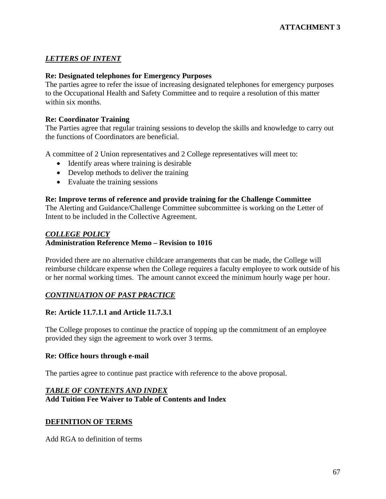## *LETTERS OF INTENT*

## **Re: Designated telephones for Emergency Purposes**

The parties agree to refer the issue of increasing designated telephones for emergency purposes to the Occupational Health and Safety Committee and to require a resolution of this matter within six months.

## **Re: Coordinator Training**

The Parties agree that regular training sessions to develop the skills and knowledge to carry out the functions of Coordinators are beneficial.

A committee of 2 Union representatives and 2 College representatives will meet to:

- Identify areas where training is desirable
- Develop methods to deliver the training
- Evaluate the training sessions

#### **Re: Improve terms of reference and provide training for the Challenge Committee**

The Alerting and Guidance/Challenge Committee subcommittee is working on the Letter of Intent to be included in the Collective Agreement.

## *COLLEGE POLICY* **Administration Reference Memo – Revision to 1016**

Provided there are no alternative childcare arrangements that can be made, the College will reimburse childcare expense when the College requires a faculty employee to work outside of his or her normal working times. The amount cannot exceed the minimum hourly wage per hour.

## *CONTINUATION OF PAST PRACTICE*

## **Re: Article 11.7.1.1 and Article 11.7.3.1**

The College proposes to continue the practice of topping up the commitment of an employee provided they sign the agreement to work over 3 terms.

#### **Re: Office hours through e-mail**

The parties agree to continue past practice with reference to the above proposal.

## *TABLE OF CONTENTS AND INDEX* **Add Tuition Fee Waiver to Table of Contents and Index**

## **DEFINITION OF TERMS**

Add RGA to definition of terms